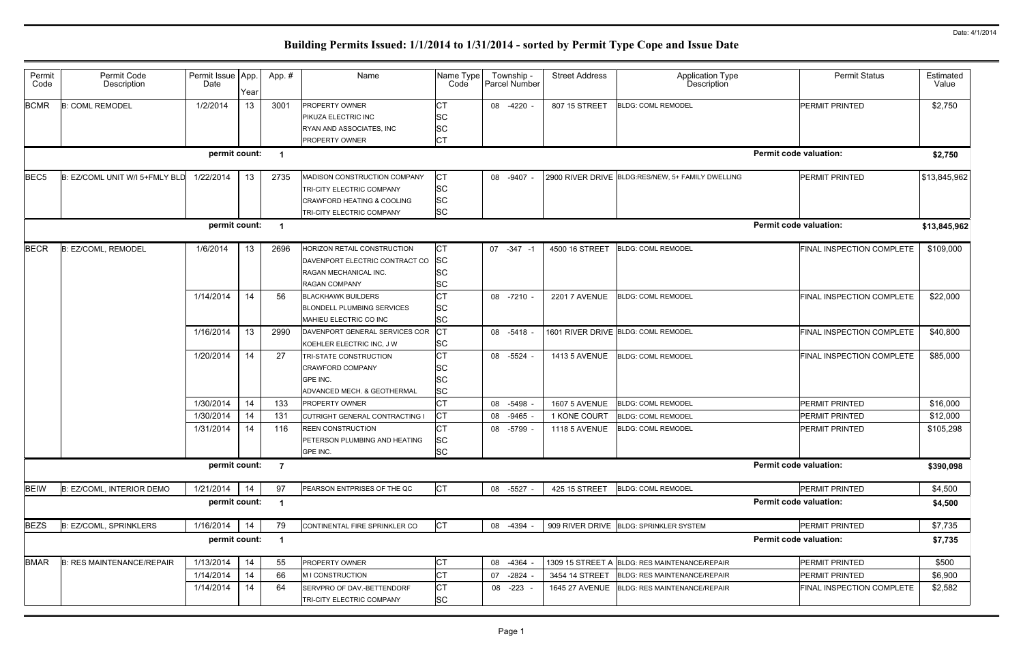|                               | <b>Permit Status</b>             | Estimated<br>Value   |
|-------------------------------|----------------------------------|----------------------|
|                               | PERMIT PRINTED                   | \$2,750              |
| <b>Permit code valuation:</b> |                                  | \$2,750              |
|                               |                                  |                      |
|                               | PERMIT PRINTED                   | \$13,845,962         |
|                               |                                  |                      |
| <b>Permit code valuation:</b> |                                  | \$13,845,962         |
|                               | FINAL INSPECTION COMPLETE        | \$109,000            |
|                               |                                  |                      |
|                               | FINAL INSPECTION COMPLETE        | \$22,000             |
|                               |                                  |                      |
|                               | FINAL INSPECTION COMPLETE        | \$40,800             |
|                               | FINAL INSPECTION COMPLETE        | \$85,000             |
|                               |                                  |                      |
|                               |                                  |                      |
|                               | PERMIT PRINTED                   | \$16,000<br>\$12,000 |
|                               | PERMIT PRINTED<br>PERMIT PRINTED | \$105,298            |
|                               |                                  |                      |
| <b>Permit code valuation:</b> |                                  | \$390,098            |
|                               | PERMIT PRINTED                   | \$4,500              |
| <b>Permit code valuation:</b> |                                  | \$4,500              |
|                               | PERMIT PRINTED                   | \$7,735              |
| <b>Permit code valuation:</b> |                                  | \$7,735              |
|                               | PERMIT PRINTED                   | \$500                |
|                               | PERMIT PRINTED                   | \$6,900              |
|                               | FINAL INSPECTION COMPLETE        | \$2,582              |
|                               |                                  |                      |

| Permit<br>Code   | Permit Code<br>Description       | Permit Issue   App.<br>Date | Year | App.#          | Name                                  | Name Type<br>Code | Township -<br>Parcel Number | <b>Street Address</b> | <b>Application Type</b><br>Description            | <b>Permit Status</b>          | Estimated<br>Value |
|------------------|----------------------------------|-----------------------------|------|----------------|---------------------------------------|-------------------|-----------------------------|-----------------------|---------------------------------------------------|-------------------------------|--------------------|
| <b>BCMR</b>      | <b>B: COML REMODEL</b>           | 1/2/2014                    | 13   | 3001           | <b>PROPERTY OWNER</b>                 | СT                | 08 -4220 -                  | 807 15 STREET         | <b>BLDG: COML REMODEL</b>                         | <b>PERMIT PRINTED</b>         | \$2,750            |
|                  |                                  |                             |      |                | PIKUZA ELECTRIC INC                   | <b>SC</b>         |                             |                       |                                                   |                               |                    |
|                  |                                  |                             |      |                | RYAN AND ASSOCIATES, INC              | <b>SC</b>         |                             |                       |                                                   |                               |                    |
|                  |                                  |                             |      |                | PROPERTY OWNER                        | <b>CT</b>         |                             |                       |                                                   |                               |                    |
|                  |                                  | permit count:               |      |                |                                       |                   |                             |                       |                                                   | <b>Permit code valuation:</b> | \$2,750            |
| BEC <sub>5</sub> | B: EZ/COML UNIT W/I 5+FMLY BLD   | 1/22/2014                   | 13   | 2735           | MADISON CONSTRUCTION COMPANY          | <b>CT</b>         | 08 -9407                    |                       | 2900 RIVER DRIVE BLDG:RES/NEW, 5+ FAMILY DWELLING | <b>PERMIT PRINTED</b>         | \$13,845,962       |
|                  |                                  |                             |      |                | TRI-CITY ELECTRIC COMPANY             | <b>SC</b>         |                             |                       |                                                   |                               |                    |
|                  |                                  |                             |      |                | <b>CRAWFORD HEATING &amp; COOLING</b> | <b>SC</b>         |                             |                       |                                                   |                               |                    |
|                  |                                  |                             |      |                | TRI-CITY ELECTRIC COMPANY             | <b>SC</b>         |                             |                       |                                                   |                               |                    |
|                  |                                  | permit count:               |      | -1             |                                       |                   |                             |                       |                                                   | <b>Permit code valuation:</b> | \$13,845,962       |
| <b>BECR</b>      | B: EZ/COML, REMODEL              | 1/6/2014                    | 13   | 2696           | HORIZON RETAIL CONSTRUCTION           | IСТ               | 07 -347 -1                  | 4500 16 STREET        | <b>BLDG: COML REMODEL</b>                         | FINAL INSPECTION COMPLETE     | \$109,000          |
|                  |                                  |                             |      |                | DAVENPORT ELECTRIC CONTRACT CO        | <b>SC</b>         |                             |                       |                                                   |                               |                    |
|                  |                                  |                             |      |                | RAGAN MECHANICAL INC.                 | lSC               |                             |                       |                                                   |                               |                    |
|                  |                                  |                             |      |                | <b>RAGAN COMPANY</b>                  | <b>SC</b>         |                             |                       |                                                   |                               |                    |
|                  |                                  | 1/14/2014                   | 14   | 56             | <b>BLACKHAWK BUILDERS</b>             | <b>CT</b>         | 08 -7210                    | <b>2201 7 AVENUE</b>  | <b>BLDG: COML REMODEL</b>                         | FINAL INSPECTION COMPLETE     | \$22,000           |
|                  |                                  |                             |      |                | <b>BLONDELL PLUMBING SERVICES</b>     | <b>SC</b>         |                             |                       |                                                   |                               |                    |
|                  |                                  |                             |      |                | MAHIEU ELECTRIC CO INC                | <b>SC</b>         |                             |                       |                                                   |                               |                    |
|                  |                                  | 1/16/2014                   | 13   | 2990           | DAVENPORT GENERAL SERVICES COR        | IСТ               | 08 -5418                    |                       | 1601 RIVER DRIVE BLDG: COML REMODEL               | FINAL INSPECTION COMPLETE     | \$40,800           |
|                  |                                  |                             |      |                | KOEHLER ELECTRIC INC, J W             | <b>SC</b>         |                             |                       |                                                   |                               |                    |
|                  |                                  | 1/20/2014                   | 14   | 27             | TRI-STATE CONSTRUCTION                | <b>CT</b>         | 08 -5524                    | <b>1413 5 AVENUE</b>  | <b>BLDG: COML REMODEL</b>                         | FINAL INSPECTION COMPLETE     | \$85,000           |
|                  |                                  |                             |      |                | <b>CRAWFORD COMPANY</b>               | <b>SC</b>         |                             |                       |                                                   |                               |                    |
|                  |                                  |                             |      |                | GPE INC.                              | <b>SC</b>         |                             |                       |                                                   |                               |                    |
|                  |                                  |                             |      |                | ADVANCED MECH. & GEOTHERMAL           | <b>SC</b>         |                             |                       |                                                   |                               |                    |
|                  |                                  | 1/30/2014                   | 14   | 133            | PROPERTY OWNER                        | <b>CT</b>         | $-5498$<br>08               | <b>1607 5 AVENUE</b>  | <b>BLDG: COML REMODEL</b>                         | <b>PERMIT PRINTED</b>         | \$16,000           |
|                  |                                  | 1/30/2014                   | 14   | 131            | CUTRIGHT GENERAL CONTRACTING I        | <b>CT</b>         | $-9465$<br>08               | 1 KONE COURT          | <b>BLDG: COML REMODEL</b>                         | <b>PERMIT PRINTED</b>         | \$12,000           |
|                  |                                  | 1/31/2014                   | 14   | 116            | <b>REEN CONSTRUCTION</b>              |                   | 08 -5799 -                  | <b>1118 5 AVENUE</b>  | <b>BLDG: COML REMODEL</b>                         | <b>PERMIT PRINTED</b>         | \$105,298          |
|                  |                                  |                             |      |                | PETERSON PLUMBING AND HEATING         | <b>SC</b>         |                             |                       |                                                   |                               |                    |
|                  |                                  |                             |      |                | GPE INC.                              | <b>SC</b>         |                             |                       |                                                   |                               |                    |
|                  |                                  | permit count:               |      | $\overline{7}$ |                                       |                   |                             |                       |                                                   | <b>Permit code valuation:</b> | \$390,098          |
| <b>BEIW</b>      | B: EZ/COML, INTERIOR DEMO        | 1/21/2014                   | 14   | 97             | PEARSON ENTPRISES OF THE QC           | <b>CT</b>         | 08 -5527 -                  | 425 15 STREET         | <b>BLDG: COML REMODEL</b>                         | PERMIT PRINTED                | \$4,500            |
|                  |                                  | permit count:               |      |                |                                       |                   |                             |                       |                                                   | <b>Permit code valuation:</b> | \$4,500            |
| <b>BEZS</b>      | <b>B: EZ/COML, SPRINKLERS</b>    | 1/16/2014                   | 14   | 79             | CONTINENTAL FIRE SPRINKLER CO         | <b>CT</b>         | 08 -4394                    |                       | 909 RIVER DRIVE BLDG: SPRINKLER SYSTEM            | <b>PERMIT PRINTED</b>         | \$7,735            |
|                  |                                  | permit count:               |      |                |                                       |                   |                             |                       |                                                   | <b>Permit code valuation:</b> | \$7,735            |
| <b>BMAR</b>      | <b>B: RES MAINTENANCE/REPAIR</b> | 1/13/2014                   | 14   | 55             | PROPERTY OWNER                        | <b>CT</b>         | 08<br>-4364                 |                       | 1309 15 STREET A BLDG: RES MAINTENANCE/REPAIR     | PERMIT PRINTED                | \$500              |
|                  |                                  | 1/14/2014                   | 14   | 66             | M I CONSTRUCTION                      | <b>CT</b>         | 07<br>$-2824$               | 3454 14 STREET        | <b>BLDG: RES MAINTENANCE/REPAIR</b>               | <b>PERMIT PRINTED</b>         | \$6,900            |
|                  |                                  | 1/14/2014                   | 14   | 64             | SERVPRO OF DAV.-BETTENDORF            | <b>CT</b>         | 08 -223                     |                       | 1645 27 AVENUE   BLDG: RES MAINTENANCE/REPAIR     | FINAL INSPECTION COMPLETE     | \$2,582            |
|                  |                                  |                             |      |                | TRI-CITY ELECTRIC COMPANY             | <b>SC</b>         |                             |                       |                                                   |                               |                    |
|                  |                                  |                             |      |                |                                       |                   |                             |                       |                                                   |                               |                    |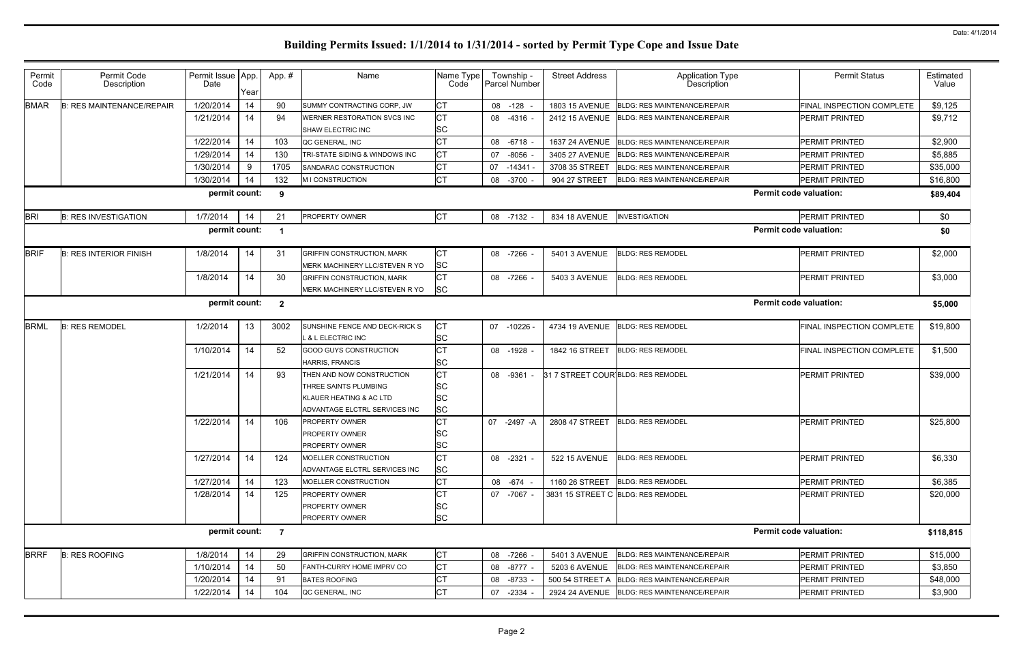|                               | <b>Permit Status</b>             | Estimated<br>Value |
|-------------------------------|----------------------------------|--------------------|
|                               | <b>FINAL INSPECTION COMPLETE</b> | \$9,125            |
|                               | PERMIT PRINTED                   | \$9,712            |
|                               | PERMIT PRINTED                   | \$2,900            |
|                               | PERMIT PRINTED                   | \$5,885            |
|                               | PERMIT PRINTED                   | \$35,000           |
|                               | PERMIT PRINTED                   | \$16,800           |
| <b>Permit code valuation:</b> |                                  | \$89,404           |
|                               | PERMIT PRINTED                   | \$0                |
| <b>Permit code valuation:</b> |                                  | \$0                |
|                               | PERMIT PRINTED                   | \$2,000            |
|                               | PERMIT PRINTED                   | \$3,000            |
| <b>Permit code valuation:</b> |                                  | \$5,000            |
|                               | FINAL INSPECTION COMPLETE        | \$19,800           |
|                               | <b>FINAL INSPECTION COMPLETE</b> | \$1,500            |
|                               | PERMIT PRINTED                   | \$39,000           |
|                               | PERMIT PRINTED                   | \$25,800           |
|                               | PERMIT PRINTED                   | \$6,330            |
|                               | PERMIT PRINTED                   | \$6,385            |
|                               | PERMIT PRINTED                   | \$20,000           |
| <b>Permit code valuation:</b> |                                  | \$118,815          |
|                               | PERMIT PRINTED                   | \$15,000           |
|                               | PERMIT PRINTED                   | \$3,850            |
|                               | PERMIT PRINTED                   | \$48,000           |
|                               | PERMIT PRINTED                   | \$3,900            |
|                               |                                  |                    |

| Permit<br>Code | Permit Code<br>Description       | Permit Issue   App.<br>Date | Year | App.#          | Name                                                                                                           | Name Type<br>Code                                | Township -<br>Parcel Number | <b>Street Address</b> | Application Type<br>Description             | <b>Permit Status</b>             | Estimated<br>Value |
|----------------|----------------------------------|-----------------------------|------|----------------|----------------------------------------------------------------------------------------------------------------|--------------------------------------------------|-----------------------------|-----------------------|---------------------------------------------|----------------------------------|--------------------|
| <b>BMAR</b>    | <b>B: RES MAINTENANCE/REPAIR</b> | 1/20/2014                   | 14   | 90             | SUMMY CONTRACTING CORP, JW                                                                                     | <b>CT</b>                                        | 08<br>$-128$                |                       | 1803 15 AVENUE BLDG: RES MAINTENANCE/REPAIR | <b>FINAL INSPECTION COMPLETE</b> | \$9,125            |
|                |                                  | 1/21/2014                   | 14   | 94             | WERNER RESTORATION SVCS INC<br><b>SHAW ELECTRIC INC</b>                                                        | <b>CT</b><br><b>SC</b>                           | 08 -4316 -                  | 2412 15 AVENUE        | <b>BLDG: RES MAINTENANCE/REPAIR</b>         | PERMIT PRINTED                   | \$9,712            |
|                |                                  | 1/22/2014                   | 14   | 103            | QC GENERAL. INC                                                                                                | <b>CT</b>                                        | $-6718$ -<br>08             | 1637 24 AVENUE        | BLDG: RES MAINTENANCE/REPAIR                | PERMIT PRINTED                   | \$2,900            |
|                |                                  | 1/29/2014                   | 14   | 130            | TRI-STATE SIDING & WINDOWS INC                                                                                 | <b>CT</b>                                        | $-8056$<br>07               | 3405 27 AVENUE        | <b>BLDG: RES MAINTENANCE/REPAIR</b>         | PERMIT PRINTED                   | \$5,885            |
|                |                                  | 1/30/2014                   | 9    | 1705           | SANDARAC CONSTRUCTION                                                                                          | <b>CT</b>                                        | 07<br>-14341                | 3708 35 STREET        | <b>BLDG: RES MAINTENANCE/REPAIR</b>         | <b>PERMIT PRINTED</b>            | \$35,000           |
|                |                                  | 1/30/2014                   | 14   | 132            | M I CONSTRUCTION                                                                                               | <b>CT</b>                                        | 08<br>$-3700$               | 904 27 STREET         | <b>BLDG: RES MAINTENANCE/REPAIR</b>         | <b>PERMIT PRINTED</b>            | \$16,800           |
|                |                                  | permit count:               |      | 9              |                                                                                                                |                                                  |                             |                       |                                             | <b>Permit code valuation:</b>    | \$89,404           |
| <b>BRI</b>     | <b>B: RES INVESTIGATION</b>      | 1/7/2014                    | 14   | 21             | PROPERTY OWNER                                                                                                 | <b>CT</b>                                        | 08 -7132 -                  | 834 18 AVENUE         | <b>INVESTIGATION</b>                        | PERMIT PRINTED                   | \$0                |
|                |                                  | permit count:               |      | - 1            |                                                                                                                |                                                  |                             |                       |                                             | <b>Permit code valuation:</b>    | \$0                |
| <b>BRIF</b>    | <b>B: RES INTERIOR FINISH</b>    | 1/8/2014                    | 14   | 31             | <b>GRIFFIN CONSTRUCTION, MARK</b><br>MERK MACHINERY LLC/STEVEN R YO                                            | СT<br><b>SC</b>                                  | 08 - 7266 -                 | 5401 3 AVENUE         | <b>BLDG: RES REMODEL</b>                    | <b>PERMIT PRINTED</b>            | \$2,000            |
|                |                                  | 1/8/2014                    | 14   | 30             | <b>GRIFFIN CONSTRUCTION, MARK</b><br>MERK MACHINERY LLC/STEVEN R YO                                            | <b>CT</b><br><b>SC</b>                           | 08 -7266 -                  | 5403 3 AVENUE         | <b>BLDG: RES REMODEL</b>                    | PERMIT PRINTED                   | \$3,000            |
|                |                                  | permit count:               |      | $\mathbf{2}$   |                                                                                                                |                                                  |                             |                       |                                             | <b>Permit code valuation:</b>    | \$5,000            |
| <b>BRML</b>    | <b>B: RES REMODEL</b>            | 1/2/2014                    | 13   | 3002           | SUNSHINE FENCE AND DECK-RICK S<br>L & L ELECTRIC INC                                                           | СT<br><b>SC</b>                                  | 07 -10226 -                 | 4734 19 AVENUE        | <b>BLDG: RES REMODEL</b>                    | FINAL INSPECTION COMPLETE        | \$19,800           |
|                |                                  | 1/10/2014                   | 14   | 52             | <b>GOOD GUYS CONSTRUCTION</b><br>HARRIS, FRANCIS                                                               | <b>CT</b><br><b>SC</b>                           | 08<br>-1928 -               | 1842 16 STREET        | <b>BLDG: RES REMODEL</b>                    | FINAL INSPECTION COMPLETE        | \$1,500            |
|                |                                  | 1/21/2014                   | 14   | 93             | THEN AND NOW CONSTRUCTION<br>THREE SAINTS PLUMBING<br>KLAUER HEATING & AC LTD<br>ADVANTAGE ELCTRL SERVICES INC | <b>CT</b><br><b>SC</b><br><b>SC</b><br><b>SC</b> | 08<br>-9361 -               |                       | 31 7 STREET COUR BLDG: RES REMODEL          | <b>PERMIT PRINTED</b>            | \$39,000           |
|                |                                  | 1/22/2014                   | 14   | 106            | <b>PROPERTY OWNER</b><br><b>PROPERTY OWNER</b><br><b>PROPERTY OWNER</b>                                        | <b>CT</b><br><b>SC</b><br><b>SC</b>              | 07 -2497 -A                 | 2808 47 STREET        | <b>BLDG: RES REMODEL</b>                    | <b>PERMIT PRINTED</b>            | \$25,800           |
|                |                                  | 1/27/2014                   | 14   | 124            | MOELLER CONSTRUCTION<br>ADVANTAGE ELCTRL SERVICES INC                                                          | <b>CT</b><br>SC                                  | 08 -2321 -                  | 522 15 AVENUE         | <b>BLDG: RES REMODEL</b>                    | PERMIT PRINTED                   | \$6,330            |
|                |                                  | 1/27/2014                   | 14   | 123            | MOELLER CONSTRUCTION                                                                                           | <b>CT</b>                                        | -674<br>08                  | 1160 26 STREET        | <b>BLDG: RES REMODEL</b>                    | PERMIT PRINTED                   | \$6,385            |
|                |                                  | 1/28/2014                   | 14   | 125            | PROPERTY OWNER<br><b>PROPERTY OWNER</b><br>PROPERTY OWNER                                                      | <b>CT</b><br><b>SC</b><br><b>SC</b>              | 07 -7067 -                  |                       | 3831 15 STREET C BLDG: RES REMODEL          | PERMIT PRINTED                   | \$20,000           |
|                |                                  | permit count:               |      | $\overline{7}$ |                                                                                                                |                                                  |                             |                       |                                             | <b>Permit code valuation:</b>    | \$118,815          |
| <b>BRRF</b>    | <b>B: RES ROOFING</b>            | 1/8/2014                    | 14   | 29             | <b>GRIFFIN CONSTRUCTION, MARK</b>                                                                              | CT                                               | 08 -7266                    | 5401 3 AVENUE         | BLDG: RES MAINTENANCE/REPAIR                | PERMIT PRINTED                   | \$15,000           |
|                |                                  | 1/10/2014                   | 14   | 50             | FANTH-CURRY HOME IMPRV CO                                                                                      | <b>CT</b>                                        | $-8777$ -<br>08             | 5203 6 AVENUE         | <b>BLDG: RES MAINTENANCE/REPAIR</b>         | PERMIT PRINTED                   | \$3,850            |
|                |                                  | 1/20/2014                   | 14   | 91             | <b>BATES ROOFING</b>                                                                                           | <b>CT</b>                                        | 08<br>$-8733$               | 500 54 STREET A       | <b>BLDG: RES MAINTENANCE/REPAIR</b>         | PERMIT PRINTED                   | \$48,000           |
|                |                                  | 1/22/2014                   | 14   | 104            | QC GENERAL, INC                                                                                                | СT                                               | $-2334$ -<br>07             |                       | 2924 24 AVENUE BLDG: RES MAINTENANCE/REPAIR | PERMIT PRINTED                   | \$3,900            |
|                |                                  |                             |      |                |                                                                                                                |                                                  |                             |                       |                                             |                                  |                    |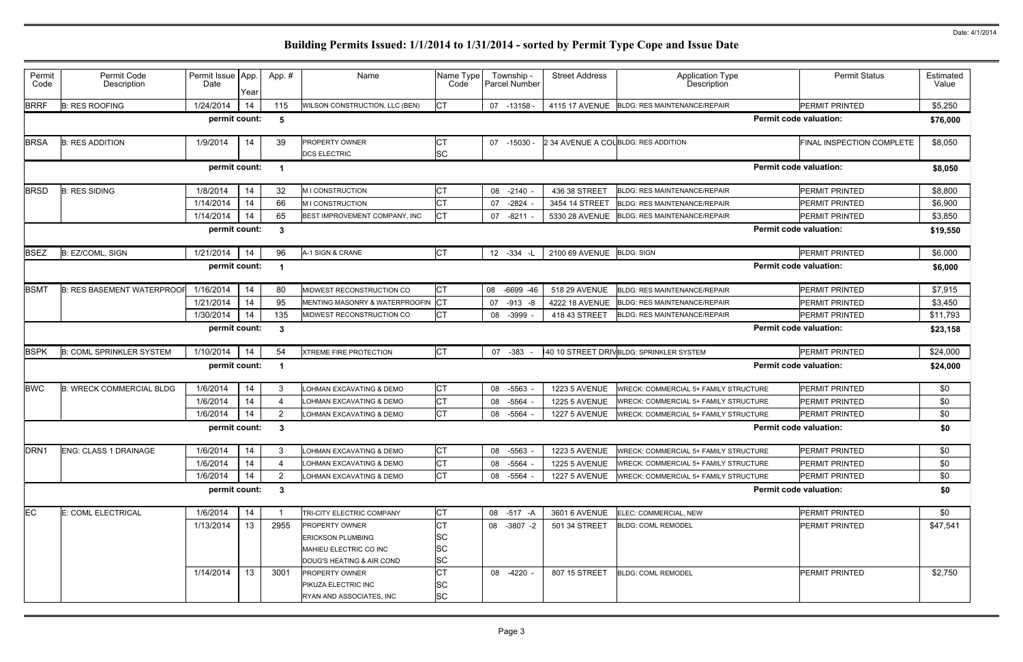| Permit<br>Code   | Permit Code<br>Description        | Permit Issue   App.<br>Date | Year | App.#          | Name                                       | Name Type<br>Code | Township<br>Parcel Number | <b>Street Address</b>               | Application Type<br>Description              | <b>Permit Status</b>          | Estimated<br>Value |  |
|------------------|-----------------------------------|-----------------------------|------|----------------|--------------------------------------------|-------------------|---------------------------|-------------------------------------|----------------------------------------------|-------------------------------|--------------------|--|
| <b>BRRF</b>      | <b>B: RES ROOFING</b>             | 1/24/2014                   | 14   | 115            | WILSON CONSTRUCTION, LLC (BEN)             |                   | 07 -13158                 |                                     | 4115 17 AVENUE BLDG: RES MAINTENANCE/REPAIR  | PERMIT PRINTED                | \$5,250            |  |
|                  |                                   | permit count:               |      | 5              |                                            |                   |                           |                                     |                                              | <b>Permit code valuation:</b> | \$76,000           |  |
| <b>BRSA</b>      | <b>B: RES ADDITION</b>            | 1/9/2014                    | 14   | 39             | PROPERTY OWNER<br><b>DCS ELECTRIC</b>      | IСТ<br><b>SC</b>  | 07 -15030                 | 2 34 AVENUE A COUBLDG: RES ADDITION |                                              | FINAL INSPECTION COMPLETE     | \$8,050            |  |
|                  |                                   | permit count:               |      |                |                                            |                   |                           |                                     |                                              | <b>Permit code valuation:</b> | \$8,050            |  |
| <b>BRSD</b>      | <b>B: RES SIDING</b>              | 1/8/2014                    | 14   | 32             | M I CONSTRUCTION                           |                   | 08 -2140                  | 436 38 STREET                       | <b>BLDG: RES MAINTENANCE/REPAIR</b>          | PERMIT PRINTED                | \$8,800            |  |
|                  |                                   | 1/14/2014                   | 14   | 66             | <b>MICONSTRUCTION</b>                      |                   | $-2824$<br>07             | 3454 14 STREET                      | <b>BLDG: RES MAINTENANCE/REPAIR</b>          | PERMIT PRINTED                | \$6,900            |  |
|                  |                                   | 1/14/2014                   | 14   | 65             | BEST IMPROVEMENT COMPANY, INC              |                   | $-8211$<br>07             | 5330 28 AVENUE                      | <b>BLDG: RES MAINTENANCE/REPAIR</b>          | PERMIT PRINTED                | \$3,850            |  |
|                  |                                   | permit count:               |      | $\mathbf{3}$   |                                            |                   |                           |                                     |                                              | <b>Permit code valuation:</b> | \$19,550           |  |
| <b>BSEZ</b>      | B: EZ/COML, SIGN                  | 1/21/2014                   | 14   | 96             | A-1 SIGN & CRANE                           | CT                | 12 -334 -L                | 2100 69 AVENUE BLDG: SIGN           |                                              | PERMIT PRINTED                | \$6,000            |  |
|                  |                                   | permit count:               |      |                |                                            |                   |                           |                                     |                                              | <b>Permit code valuation:</b> | \$6,000            |  |
| <b>BSMT</b>      | <b>B: RES BASEMENT WATERPROOF</b> | 1/16/2014                   | 14   | 80             | MIDWEST RECONSTRUCTION CO                  | IСТ               | 08 -6699 -46              | 518 29 AVENUE                       | <b>BLDG: RES MAINTENANCE/REPAIR</b>          | PERMIT PRINTED                | \$7,915            |  |
|                  |                                   | 1/21/2014                   | 14   | 95             | MENTING MASONRY & WATERPROOFIN <b>I</b> CT |                   | 07 -913 -8                | 4222 18 AVENUE                      | <b>BLDG: RES MAINTENANCE/REPAIR</b>          | PERMIT PRINTED                | \$3,450            |  |
|                  |                                   | 1/30/2014                   | 14   | 135            | MIDWEST RECONSTRUCTION CO                  |                   | $-3999$<br>08             | 418 43 STREET                       | <b>BLDG: RES MAINTENANCE/REPAIR</b>          | PERMIT PRINTED                | \$11,793           |  |
|                  |                                   | permit count:               |      | -3             |                                            |                   |                           |                                     | <b>Permit code valuation:</b>                |                               |                    |  |
| <b>BSPK</b>      | <b>B: COML SPRINKLER SYSTEM</b>   | 1/10/2014                   | 14   | 54             | <b>XTREME FIRE PROTECTION</b>              | <b>CT</b>         | 07<br>$-383$              |                                     | 40 10 STREET DRIVBLDG: SPRINKLER SYSTEM      | <b>PERMIT PRINTED</b>         | \$24,000           |  |
|                  |                                   | permit count:               |      |                |                                            |                   |                           |                                     |                                              | <b>Permit code valuation:</b> | \$24,000           |  |
| <b>BWC</b>       | <b>B: WRECK COMMERCIAL BLDG</b>   | 1/6/2014                    | 14   | 3              | OHMAN EXCAVATING & DEMO                    | <b>ICT</b>        | 08 -5563                  | <b>1223 5 AVENUE</b>                | WRECK: COMMERCIAL 5+ FAMILY STRUCTURE        | PERMIT PRINTED                | \$0                |  |
|                  |                                   | 1/6/2014                    | 14   | 4              | OHMAN EXCAVATING & DEMO                    | Iст               | -5564<br>08               | <b>1225 5 AVENUE</b>                | WRECK: COMMERCIAL 5+ FAMILY STRUCTURE        | PERMIT PRINTED                | \$0                |  |
|                  |                                   | 1/6/2014                    | 14   | $\overline{2}$ | OHMAN EXCAVATING & DEMO                    | <b>CT</b>         | 08 -5564                  | <b>1227 5 AVENUE</b>                | <b>WRECK: COMMERCIAL 5+ FAMILY STRUCTURE</b> | PERMIT PRINTED                | \$0                |  |
|                  |                                   | permit count:               |      | 3              |                                            |                   |                           |                                     |                                              | <b>Permit code valuation:</b> | \$0                |  |
| DRN <sub>1</sub> | <b>ENG: CLASS 1 DRAINAGE</b>      | 1/6/2014                    | 14   | 3              | OHMAN EXCAVATING & DEMO                    | CT                | 08 -5563                  | <b>1223 5 AVENUE</b>                | <b>WRECK: COMMERCIAL 5+ FAMILY STRUCTURE</b> | PERMIT PRINTED                | \$0                |  |
|                  |                                   | 1/6/2014                    | 14   | 4              | OHMAN EXCAVATING & DEMO                    | <b>ICT</b>        | 08 -5564                  | <b>1225 5 AVENUE</b>                | WRECK: COMMERCIAL 5+ FAMILY STRUCTURE        | PERMIT PRINTED                | \$0                |  |
|                  |                                   | 1/6/2014                    | 14   | $\overline{2}$ | <b>LOHMAN EXCAVATING &amp; DEMO</b>        | <b>CT</b>         | 08 -5564                  | <b>1227 5 AVENUE</b>                | <b>WRECK: COMMERCIAL 5+ FAMILY STRUCTURE</b> | PERMIT PRINTED                | \$0                |  |
|                  |                                   | permit count:               |      | $\mathbf{3}$   |                                            |                   |                           |                                     |                                              | <b>Permit code valuation:</b> | \$0                |  |
| EC               | E: COML ELECTRICAL                | 1/6/2014                    | 14   |                | TRI-CITY ELECTRIC COMPANY                  | CT                | 08 -517 -A                | 3601 6 AVENUE                       | ELEC: COMMERCIAL. NEW                        | PERMIT PRINTED                | \$0                |  |
|                  |                                   | 1/13/2014                   | 13   | 2955           | <b>PROPERTY OWNER</b>                      | IСТ               | 08 -3807 -2               | 501 34 STREET                       | <b>BLDG: COML REMODEL</b>                    | <b>PERMIT PRINTED</b>         | \$47,541           |  |
|                  |                                   |                             |      |                | <b>ERICKSON PLUMBING</b>                   | <b>SC</b>         |                           |                                     |                                              |                               |                    |  |
|                  |                                   |                             |      |                | <b>MAHIEU ELECTRIC CO INC</b>              | <b>SC</b>         |                           |                                     |                                              |                               |                    |  |
|                  |                                   |                             |      |                | DOUG'S HEATING & AIR COND                  | <b>SC</b>         |                           |                                     |                                              |                               |                    |  |
|                  |                                   | 1/14/2014                   | 13   | 3001           | <b>PROPERTY OWNER</b>                      | <b>CT</b>         | 08 -4220                  | 807 15 STREET                       | <b>BLDG: COML REMODEL</b>                    | PERMIT PRINTED                | \$2,750            |  |
|                  |                                   |                             |      |                | <b>PIKUZA ELECTRIC INC</b>                 | <b>SC</b>         |                           |                                     |                                              |                               |                    |  |
|                  |                                   |                             |      |                | RYAN AND ASSOCIATES, INC                   | <b>SC</b>         |                           |                                     |                                              |                               |                    |  |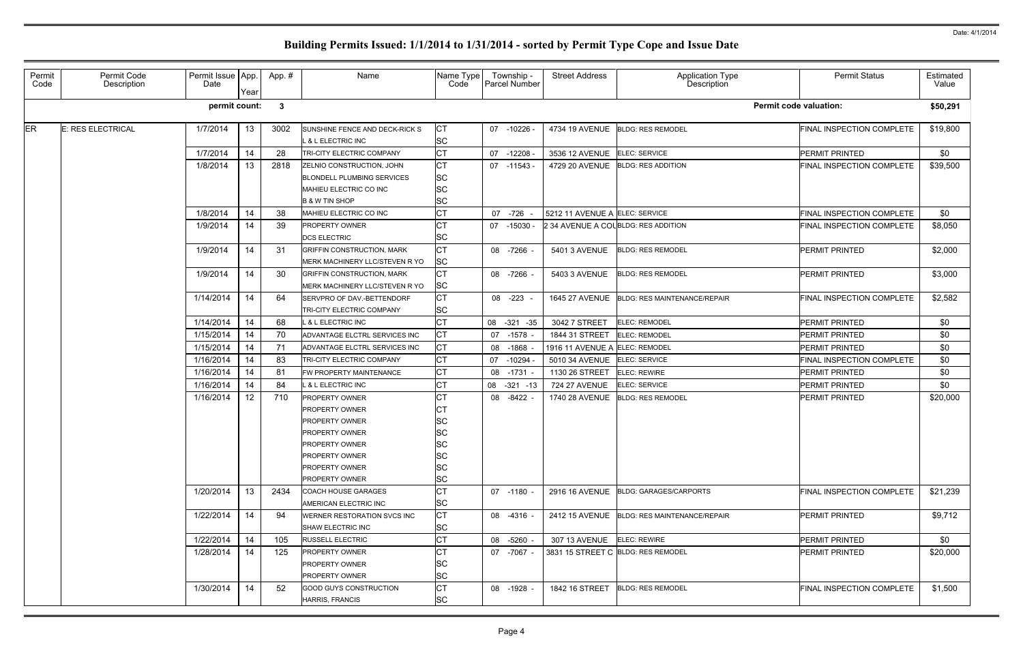| Permit<br>Code | Permit Code<br>Description | Permit Issue App.<br>Date | Year | App.#        | Name                                                        | Name Type<br>Code | Township -<br>Parcel Number | <b>Street Address</b>          | Application Type<br>Description     | <b>Permit Status</b>             | Estimated<br>Value |
|----------------|----------------------------|---------------------------|------|--------------|-------------------------------------------------------------|-------------------|-----------------------------|--------------------------------|-------------------------------------|----------------------------------|--------------------|
|                |                            | permit count:             |      | $\mathbf{3}$ |                                                             |                   |                             |                                |                                     | <b>Permit code valuation:</b>    | \$50,291           |
| ER             | E: RES ELECTRICAL          | 1/7/2014                  | 13   | 3002         | SUNSHINE FENCE AND DECK-RICK S<br>L & L ELECTRIC INC        | СT<br><b>SC</b>   | 07 -10226                   | 4734 19 AVENUE                 | <b>BLDG: RES REMODEL</b>            | FINAL INSPECTION COMPLETE        | \$19,800           |
|                |                            | 1/7/2014                  | 14   | 28           | <b>TRI-CITY ELECTRIC COMPANY</b>                            | <b>CT</b>         | 07 -12208                   | 3536 12 AVENUE                 | <b>ELEC: SERVICE</b>                | PERMIT PRINTED                   | \$0                |
|                |                            | 1/8/2014                  | 13   | 2818         | ZELNIO CONSTRUCTION, JOHN                                   | <b>CT</b>         | $07 - 11543$                | 4729 20 AVENUE                 | <b>BLDG: RES ADDITION</b>           | FINAL INSPECTION COMPLETE        | \$39,500           |
|                |                            |                           |      |              | <b>BLONDELL PLUMBING SERVICES</b>                           | <b>SC</b>         |                             |                                |                                     |                                  |                    |
|                |                            |                           |      |              | MAHIEU ELECTRIC CO INC                                      | <b>SC</b>         |                             |                                |                                     |                                  |                    |
|                |                            |                           |      |              | <b>B &amp; W TIN SHOP</b>                                   | <b>SC</b>         |                             |                                |                                     |                                  |                    |
|                |                            | 1/8/2014                  | 14   | 38           | MAHIEU ELECTRIC CO INC                                      | <b>CT</b>         | 07 -726                     | 5212 11 AVENUE A ELEC: SERVICE |                                     | <b>FINAL INSPECTION COMPLETE</b> | \$0                |
|                |                            | 1/9/2014                  | 14   | 39           | <b>PROPERTY OWNER</b>                                       | СT                | 07 -15030                   |                                | 2 34 AVENUE A COLBLDG: RES ADDITION | FINAL INSPECTION COMPLETE        | \$8,050            |
|                |                            |                           |      |              | <b>DCS ELECTRIC</b>                                         | <b>SC</b>         |                             |                                |                                     |                                  |                    |
|                |                            | 1/9/2014                  | 14   | -31          | <b>GRIFFIN CONSTRUCTION, MARK</b>                           | <b>CT</b>         | 08 -7266                    | 5401 3 AVENUE                  | <b>BLDG: RES REMODEL</b>            | <b>PERMIT PRINTED</b>            | \$2,000            |
|                |                            |                           |      |              | MERK MACHINERY LLC/STEVEN R YO                              | <b>SC</b>         |                             |                                |                                     |                                  |                    |
|                |                            | 1/9/2014                  | 14   | 30           | <b>GRIFFIN CONSTRUCTION, MARK</b>                           | <b>CT</b>         | 08 -7266                    | 5403 3 AVENUE                  | <b>BLDG: RES REMODEL</b>            | PERMIT PRINTED                   | \$3,000            |
|                |                            |                           |      |              | MERK MACHINERY LLC/STEVEN R YO                              | <b>SC</b>         |                             |                                |                                     |                                  |                    |
|                |                            | 1/14/2014                 | 14   | 64           | SERVPRO OF DAV.-BETTENDORF                                  | <b>CT</b>         | 08 -223                     | <b>1645 27 AVENUE</b>          | <b>BLDG: RES MAINTENANCE/REPAIR</b> | FINAL INSPECTION COMPLETE        | \$2,582            |
|                |                            |                           |      |              | TRI-CITY ELECTRIC COMPANY                                   | <b>SC</b>         |                             |                                |                                     |                                  |                    |
|                |                            | 1/14/2014                 | 14   | 68           | L & L ELECTRIC INC                                          | <b>CT</b>         | 08 -321 -35                 | 3042 7 STREET                  | <b>ELEC: REMODEL</b>                | <b>PERMIT PRINTED</b>            | \$0                |
|                |                            | 1/15/2014                 | 14   | 70           | ADVANTAGE ELCTRL SERVICES INC                               | <b>CT</b>         | 07 -1578                    | 1844 31 STREET                 | <b>ELEC: REMODEL</b>                | PERMIT PRINTED                   | \$0                |
|                |                            | 1/15/2014                 | 14   | 71           | ADVANTAGE ELCTRL SERVICES INC                               | СT                | 08 -1868                    | 1916 11 AVENUE A ELEC: REMODEI |                                     | PERMIT PRINTED                   | \$0                |
|                |                            | 1/16/2014                 | 14   | 83           | TRI-CITY ELECTRIC COMPANY                                   | <b>CT</b>         | 07 -10294                   | 5010 34 AVENUE                 | ELEC: SERVICE                       | FINAL INSPECTION COMPLETE        | \$0                |
|                |                            | 1/16/2014                 | 14   | 81           | FW PROPERTY MAINTENANCE                                     | <b>CT</b>         | 08 -1731                    | 1130 26 STREET                 | <b>ELEC: REWIRE</b>                 | PERMIT PRINTED                   | \$0                |
|                |                            | 1/16/2014                 | 14   | 84           | <b>L &amp; L ELECTRIC INC</b>                               | <b>CT</b>         | 08 -321 -13                 | <b>724 27 AVENUE</b>           | ELEC: SERVICE                       | PERMIT PRINTED                   | \$0                |
|                |                            | 1/16/2014                 | 12   | 710          | <b>PROPERTY OWNER</b>                                       | <b>CT</b>         | 08 -8422                    | 1740 28 AVENUE                 | <b>BLDG: RES REMODEL</b>            | <b>PERMIT PRINTED</b>            | \$20,000           |
|                |                            |                           |      |              | <b>PROPERTY OWNER</b>                                       |                   |                             |                                |                                     |                                  |                    |
|                |                            |                           |      |              | <b>PROPERTY OWNER</b>                                       | SC                |                             |                                |                                     |                                  |                    |
|                |                            |                           |      |              | <b>PROPERTY OWNER</b>                                       | SC                |                             |                                |                                     |                                  |                    |
|                |                            |                           |      |              | <b>PROPERTY OWNER</b>                                       | ΙSC               |                             |                                |                                     |                                  |                    |
|                |                            |                           |      |              | <b>PROPERTY OWNER</b>                                       | SC                |                             |                                |                                     |                                  |                    |
|                |                            |                           |      |              | <b>PROPERTY OWNER</b>                                       | <b>SC</b>         |                             |                                |                                     |                                  |                    |
|                |                            |                           |      |              | <b>PROPERTY OWNER</b>                                       | SC                |                             |                                |                                     |                                  |                    |
|                |                            | 1/20/2014                 | 13   | 2434         | <b>COACH HOUSE GARAGES</b>                                  | <b>CT</b>         | $07 - 1180$                 | <b>2916 16 AVENUE</b>          | <b>BLDG: GARAGES/CARPORTS</b>       | <b>FINAL INSPECTION COMPLETE</b> | \$21,239           |
|                |                            | 1/22/2014                 | 14   | 94           | AMERICAN ELECTRIC INC<br><b>WERNER RESTORATION SVCS INC</b> | <b>SC</b><br>СT   | 08 -4316 -                  |                                | <b>BLDG: RES MAINTENANCE/REPAIR</b> | <b>PERMIT PRINTED</b>            | \$9,712            |
|                |                            |                           |      |              |                                                             | <b>SC</b>         |                             | 2412 15 AVENUE                 |                                     |                                  |                    |
|                |                            | 1/22/2014                 | 14   |              | <b>SHAW ELECTRIC INC</b><br><b>RUSSELL ELECTRIC</b>         | <b>CT</b>         |                             |                                | <b>ELEC: REWIRE</b>                 | <b>PERMIT PRINTED</b>            | \$0                |
|                |                            | 1/28/2014                 |      | 105          | <b>PROPERTY OWNER</b>                                       | <b>CT</b>         | 08 -5260                    | 307 13 AVENUE                  |                                     |                                  |                    |
|                |                            |                           | 14   | 125          | <b>PROPERTY OWNER</b>                                       | <b>SC</b>         | 07 -7067 -                  |                                | 3831 15 STREET C BLDG: RES REMODEL  | <b>PERMIT PRINTED</b>            | \$20,000           |
|                |                            |                           |      |              | <b>PROPERTY OWNER</b>                                       | <b>SC</b>         |                             |                                |                                     |                                  |                    |
|                |                            | 1/30/2014                 | 14   | -52          | <b>GOOD GUYS CONSTRUCTION</b>                               | <b>CT</b>         | 08 - 1928                   | 1842 16 STREET                 | <b>BLDG: RES REMODEL</b>            | FINAL INSPECTION COMPLETE        | \$1,500            |
|                |                            |                           |      |              | <b>HARRIS, FRANCIS</b>                                      | <b>SC</b>         |                             |                                |                                     |                                  |                    |
|                |                            |                           |      |              |                                                             |                   |                             |                                |                                     |                                  |                    |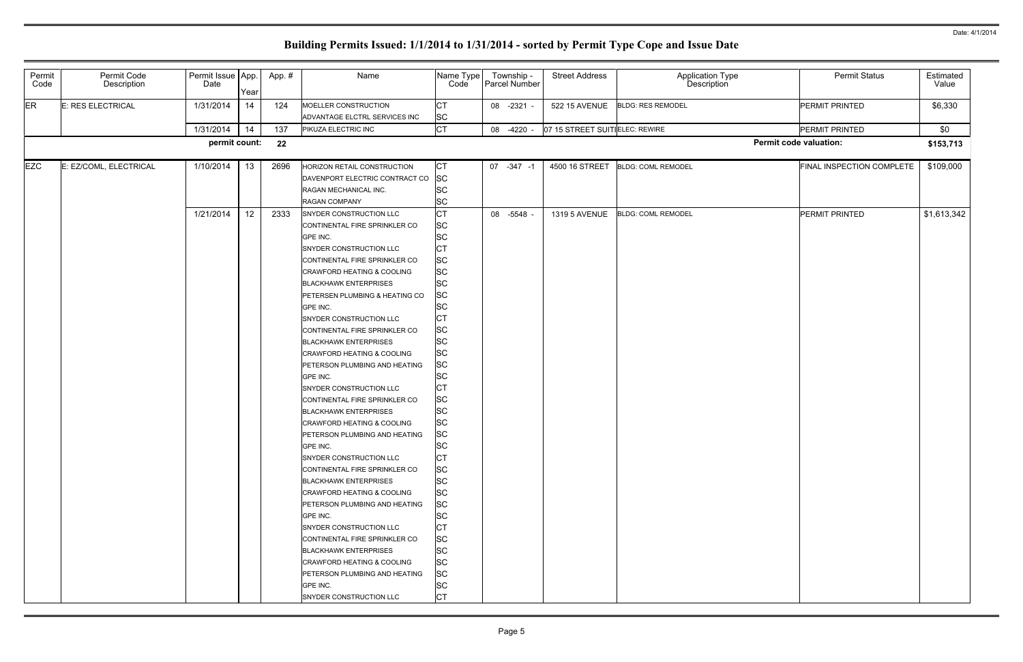|                               | <b>Permit Status</b>      | Estimated<br>Value |
|-------------------------------|---------------------------|--------------------|
|                               | PERMIT PRINTED            | \$6,330            |
|                               | PERMIT PRINTED            | \$0                |
| <b>Permit code valuation:</b> |                           | \$153,713          |
|                               | FINAL INSPECTION COMPLETE | \$109,000          |
|                               | PERMIT PRINTED            | \$1,613,342        |

| Permit<br>Code | Permit Code<br>Description | Permit Issue App.<br>Date | Year            | App.# | Name                                                  | Name Type<br>Code | Township -<br>Parcel Number | <b>Street Address</b>          | Application Type<br>Description |                               | <b>Permit Status</b>      | Estimated<br>Value |
|----------------|----------------------------|---------------------------|-----------------|-------|-------------------------------------------------------|-------------------|-----------------------------|--------------------------------|---------------------------------|-------------------------------|---------------------------|--------------------|
| <b>ER</b>      | E: RES ELECTRICAL          | 1/31/2014                 | 14              | 124   | MOELLER CONSTRUCTION<br>ADVANTAGE ELCTRL SERVICES INC | СT<br><b>SC</b>   | 08 -2321 -                  | <b>522 15 AVENUE</b>           | <b>BLDG: RES REMODEL</b>        |                               | PERMIT PRINTED            | \$6,330            |
|                |                            | 1/31/2014                 | 14              | 137   | PIKUZA ELECTRIC INC                                   | СT                | 08 -4220                    | 07 15 STREET SUITIELEC: REWIRE |                                 |                               | PERMIT PRINTED            | \$0                |
|                |                            | permit count:             |                 |       |                                                       |                   |                             |                                |                                 | <b>Permit code valuation:</b> |                           |                    |
|                |                            |                           |                 | 22    |                                                       |                   |                             |                                |                                 |                               |                           | \$153,713          |
| <b>EZC</b>     | E: EZ/COML, ELECTRICAL     | 1/10/2014                 | 13              | 2696  | HORIZON RETAIL CONSTRUCTION                           | СT                | 07 -347 -1                  | 4500 16 STREET                 | <b>BLDG: COML REMODEL</b>       |                               | FINAL INSPECTION COMPLETE | \$109,000          |
|                |                            |                           |                 |       | DAVENPORT ELECTRIC CONTRACT CO                        | <b>SC</b>         |                             |                                |                                 |                               |                           |                    |
|                |                            |                           |                 |       | RAGAN MECHANICAL INC.                                 | SC                |                             |                                |                                 |                               |                           |                    |
|                |                            |                           |                 |       | <b>RAGAN COMPANY</b>                                  | <b>SC</b>         |                             |                                |                                 |                               |                           |                    |
|                |                            | 1/21/2014                 | 12 <sub>2</sub> | 2333  | SNYDER CONSTRUCTION LLC                               | СT                | 08 -5548 -                  | <b>1319 5 AVENUE</b>           | <b>BLDG: COML REMODEL</b>       |                               | PERMIT PRINTED            | \$1,613,342        |
|                |                            |                           |                 |       | CONTINENTAL FIRE SPRINKLER CO                         | <b>SC</b>         |                             |                                |                                 |                               |                           |                    |
|                |                            |                           |                 |       | GPE INC.                                              | SC                |                             |                                |                                 |                               |                           |                    |
|                |                            |                           |                 |       | SNYDER CONSTRUCTION LLC                               | СT                |                             |                                |                                 |                               |                           |                    |
|                |                            |                           |                 |       | CONTINENTAL FIRE SPRINKLER CO                         | <b>SC</b>         |                             |                                |                                 |                               |                           |                    |
|                |                            |                           |                 |       | CRAWFORD HEATING & COOLING                            | <b>SC</b>         |                             |                                |                                 |                               |                           |                    |
|                |                            |                           |                 |       | <b>BLACKHAWK ENTERPRISES</b>                          | SC                |                             |                                |                                 |                               |                           |                    |
|                |                            |                           |                 |       | PETERSEN PLUMBING & HEATING CO                        | SC                |                             |                                |                                 |                               |                           |                    |
|                |                            |                           |                 |       | GPE INC.                                              | SC                |                             |                                |                                 |                               |                           |                    |
|                |                            |                           |                 |       | SNYDER CONSTRUCTION LLC                               | СT                |                             |                                |                                 |                               |                           |                    |
|                |                            |                           |                 |       | CONTINENTAL FIRE SPRINKLER CO                         | SC                |                             |                                |                                 |                               |                           |                    |
|                |                            |                           |                 |       | <b>BLACKHAWK ENTERPRISES</b>                          | <b>SC</b>         |                             |                                |                                 |                               |                           |                    |
|                |                            |                           |                 |       | CRAWFORD HEATING & COOLING                            | SC                |                             |                                |                                 |                               |                           |                    |
|                |                            |                           |                 |       | PETERSON PLUMBING AND HEATING                         | SC                |                             |                                |                                 |                               |                           |                    |
|                |                            |                           |                 |       | GPE INC.                                              | SC                |                             |                                |                                 |                               |                           |                    |
|                |                            |                           |                 |       | SNYDER CONSTRUCTION LLC                               | СT                |                             |                                |                                 |                               |                           |                    |
|                |                            |                           |                 |       | CONTINENTAL FIRE SPRINKLER CO                         | SC                |                             |                                |                                 |                               |                           |                    |
|                |                            |                           |                 |       | <b>BLACKHAWK ENTERPRISES</b>                          | <b>SC</b>         |                             |                                |                                 |                               |                           |                    |
|                |                            |                           |                 |       | CRAWFORD HEATING & COOLING                            | <b>SC</b>         |                             |                                |                                 |                               |                           |                    |
|                |                            |                           |                 |       | PETERSON PLUMBING AND HEATING                         | <b>SC</b>         |                             |                                |                                 |                               |                           |                    |
|                |                            |                           |                 |       | GPE INC.                                              | <b>SC</b>         |                             |                                |                                 |                               |                           |                    |
|                |                            |                           |                 |       | SNYDER CONSTRUCTION LLC                               | СT                |                             |                                |                                 |                               |                           |                    |
|                |                            |                           |                 |       | CONTINENTAL FIRE SPRINKLER CO                         | <b>SC</b>         |                             |                                |                                 |                               |                           |                    |
|                |                            |                           |                 |       | <b>BLACKHAWK ENTERPRISES</b>                          | <b>SC</b>         |                             |                                |                                 |                               |                           |                    |
|                |                            |                           |                 |       | CRAWFORD HEATING & COOLING                            | <b>SC</b>         |                             |                                |                                 |                               |                           |                    |
|                |                            |                           |                 |       | PETERSON PLUMBING AND HEATING                         | <b>SC</b>         |                             |                                |                                 |                               |                           |                    |
|                |                            |                           |                 |       | GPE INC.                                              | SC                |                             |                                |                                 |                               |                           |                    |
|                |                            |                           |                 |       | SNYDER CONSTRUCTION LLC                               | СT                |                             |                                |                                 |                               |                           |                    |
|                |                            |                           |                 |       | CONTINENTAL FIRE SPRINKLER CO                         | SC                |                             |                                |                                 |                               |                           |                    |
|                |                            |                           |                 |       | <b>BLACKHAWK ENTERPRISES</b>                          | SC                |                             |                                |                                 |                               |                           |                    |
|                |                            |                           |                 |       | CRAWFORD HEATING & COOLING                            | <b>SC</b>         |                             |                                |                                 |                               |                           |                    |
|                |                            |                           |                 |       | PETERSON PLUMBING AND HEATING                         | <b>SC</b>         |                             |                                |                                 |                               |                           |                    |
|                |                            |                           |                 |       | GPE INC.                                              | SC                |                             |                                |                                 |                               |                           |                    |
|                |                            |                           |                 |       | SNYDER CONSTRUCTION LLC                               | СT                |                             |                                |                                 |                               |                           |                    |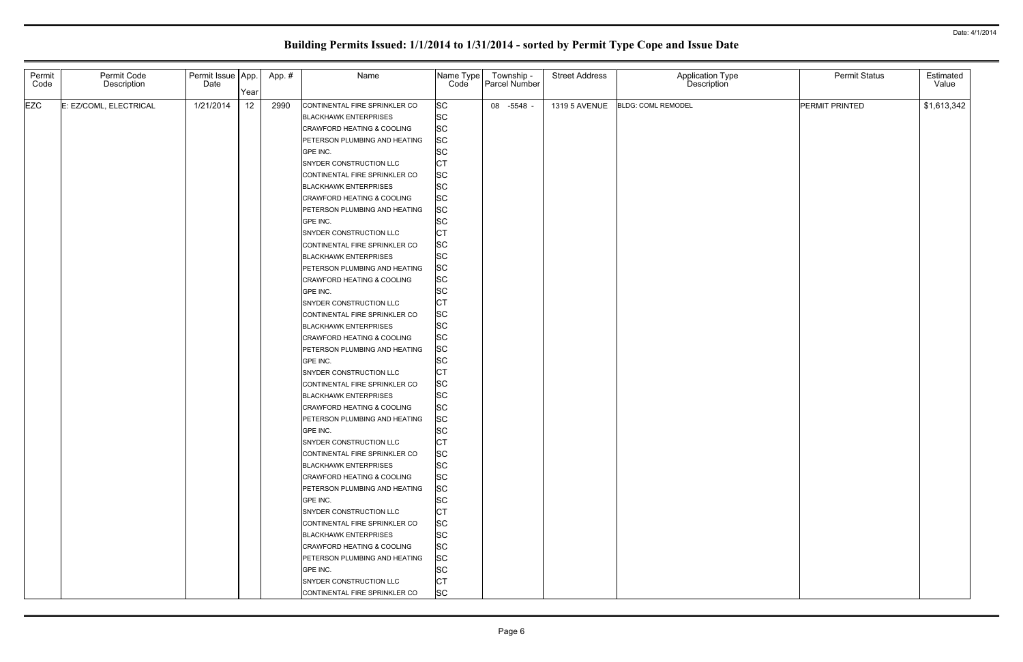| Permit<br>Code | Permit Code<br>Description | Permit Issue   App.<br>Date |                 | App.# | Name                          | Name Type<br>Code      | Township -<br>Parcel Number | <b>Street Address</b> | Application Type<br>Description | <b>Permit Status</b> | Estimated<br>Value |
|----------------|----------------------------|-----------------------------|-----------------|-------|-------------------------------|------------------------|-----------------------------|-----------------------|---------------------------------|----------------------|--------------------|
|                |                            |                             | Year            |       |                               |                        |                             |                       |                                 |                      |                    |
| <b>EZC</b>     | E: EZ/COML, ELECTRICAL     | 1/21/2014                   | 12 <sub>2</sub> | 2990  | CONTINENTAL FIRE SPRINKLER CO | <b>SC</b>              | 08 -5548                    | <b>1319 5 AVENUE</b>  | <b>BLDG: COML REMODEL</b>       | PERMIT PRINTED       | \$1,613,342        |
|                |                            |                             |                 |       | <b>BLACKHAWK ENTERPRISES</b>  | <b>SC</b>              |                             |                       |                                 |                      |                    |
|                |                            |                             |                 |       | CRAWFORD HEATING & COOLING    | <b>SC</b>              |                             |                       |                                 |                      |                    |
|                |                            |                             |                 |       | PETERSON PLUMBING AND HEATING | <b>SC</b>              |                             |                       |                                 |                      |                    |
|                |                            |                             |                 |       | GPE INC.                      | <b>SC</b>              |                             |                       |                                 |                      |                    |
|                |                            |                             |                 |       | SNYDER CONSTRUCTION LLC       | <b>CT</b>              |                             |                       |                                 |                      |                    |
|                |                            |                             |                 |       | CONTINENTAL FIRE SPRINKLER CO | <b>SC</b>              |                             |                       |                                 |                      |                    |
|                |                            |                             |                 |       | <b>BLACKHAWK ENTERPRISES</b>  | <b>SC</b>              |                             |                       |                                 |                      |                    |
|                |                            |                             |                 |       | CRAWFORD HEATING & COOLING    | <b>SC</b>              |                             |                       |                                 |                      |                    |
|                |                            |                             |                 |       | PETERSON PLUMBING AND HEATING | <b>SC</b>              |                             |                       |                                 |                      |                    |
|                |                            |                             |                 |       | GPE INC.                      | <b>SC</b>              |                             |                       |                                 |                      |                    |
|                |                            |                             |                 |       | SNYDER CONSTRUCTION LLC       | <b>CT</b>              |                             |                       |                                 |                      |                    |
|                |                            |                             |                 |       | CONTINENTAL FIRE SPRINKLER CO | <b>SC</b>              |                             |                       |                                 |                      |                    |
|                |                            |                             |                 |       | <b>BLACKHAWK ENTERPRISES</b>  | <b>SC</b>              |                             |                       |                                 |                      |                    |
|                |                            |                             |                 |       | PETERSON PLUMBING AND HEATING | <b>SC</b>              |                             |                       |                                 |                      |                    |
|                |                            |                             |                 |       | CRAWFORD HEATING & COOLING    | <b>SC</b>              |                             |                       |                                 |                      |                    |
|                |                            |                             |                 |       | GPE INC.                      | <b>SC</b>              |                             |                       |                                 |                      |                    |
|                |                            |                             |                 |       | SNYDER CONSTRUCTION LLC       | <b>CT</b>              |                             |                       |                                 |                      |                    |
|                |                            |                             |                 |       | CONTINENTAL FIRE SPRINKLER CO | <b>SC</b>              |                             |                       |                                 |                      |                    |
|                |                            |                             |                 |       | <b>BLACKHAWK ENTERPRISES</b>  | <b>SC</b>              |                             |                       |                                 |                      |                    |
|                |                            |                             |                 |       | CRAWFORD HEATING & COOLING    | <b>SC</b>              |                             |                       |                                 |                      |                    |
|                |                            |                             |                 |       | PETERSON PLUMBING AND HEATING | <b>SC</b>              |                             |                       |                                 |                      |                    |
|                |                            |                             |                 |       | GPE INC.                      | <b>SC</b>              |                             |                       |                                 |                      |                    |
|                |                            |                             |                 |       | SNYDER CONSTRUCTION LLC       | <b>CT</b>              |                             |                       |                                 |                      |                    |
|                |                            |                             |                 |       | CONTINENTAL FIRE SPRINKLER CO | <b>SC</b>              |                             |                       |                                 |                      |                    |
|                |                            |                             |                 |       | <b>BLACKHAWK ENTERPRISES</b>  | <b>SC</b>              |                             |                       |                                 |                      |                    |
|                |                            |                             |                 |       | CRAWFORD HEATING & COOLING    | <b>SC</b>              |                             |                       |                                 |                      |                    |
|                |                            |                             |                 |       | PETERSON PLUMBING AND HEATING | <b>SC</b>              |                             |                       |                                 |                      |                    |
|                |                            |                             |                 |       | GPE INC.                      | <b>SC</b>              |                             |                       |                                 |                      |                    |
|                |                            |                             |                 |       | SNYDER CONSTRUCTION LLC       | IСТ                    |                             |                       |                                 |                      |                    |
|                |                            |                             |                 |       | CONTINENTAL FIRE SPRINKLER CO | <b>SC</b>              |                             |                       |                                 |                      |                    |
|                |                            |                             |                 |       | <b>BLACKHAWK ENTERPRISES</b>  | <b>SC</b><br><b>SC</b> |                             |                       |                                 |                      |                    |
|                |                            |                             |                 |       | CRAWFORD HEATING & COOLING    |                        |                             |                       |                                 |                      |                    |
|                |                            |                             |                 |       | PETERSON PLUMBING AND HEATING | <b>SC</b>              |                             |                       |                                 |                      |                    |
|                |                            |                             |                 |       | GPE INC.                      | <b>SC</b>              |                             |                       |                                 |                      |                    |
|                |                            |                             |                 |       | SNYDER CONSTRUCTION LLC       | <b>CT</b>              |                             |                       |                                 |                      |                    |
|                |                            |                             |                 |       | CONTINENTAL FIRE SPRINKLER CO | <b>SC</b><br><b>SC</b> |                             |                       |                                 |                      |                    |
|                |                            |                             |                 |       | <b>BLACKHAWK ENTERPRISES</b>  |                        |                             |                       |                                 |                      |                    |
|                |                            |                             |                 |       | CRAWFORD HEATING & COOLING    | <b>SC</b><br><b>SC</b> |                             |                       |                                 |                      |                    |
|                |                            |                             |                 |       | PETERSON PLUMBING AND HEATING |                        |                             |                       |                                 |                      |                    |
|                |                            |                             |                 |       | GPE INC.                      | <b>SC</b>              |                             |                       |                                 |                      |                    |
|                |                            |                             |                 |       | SNYDER CONSTRUCTION LLC       | <b>CT</b>              |                             |                       |                                 |                      |                    |
|                |                            |                             |                 |       | CONTINENTAL FIRE SPRINKLER CO | <b>SC</b>              |                             |                       |                                 |                      |                    |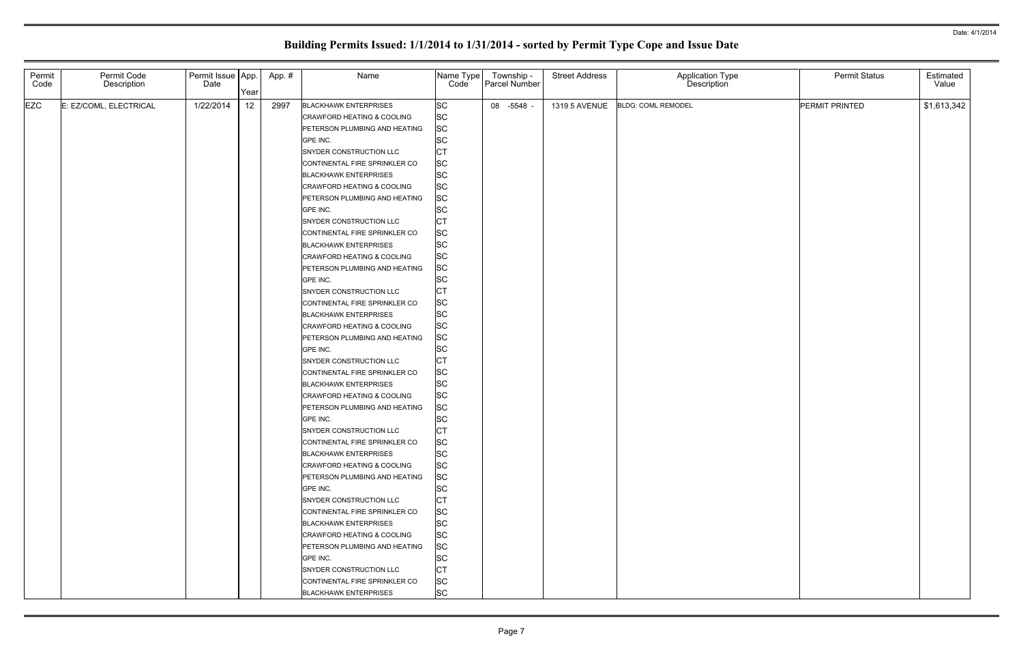| Permit<br>Code | Permit Code<br>Description | Permit Issue App.<br>Date | Year | App.# | Name                                                                  | Name Type<br>Code      | Francel Number<br>Parcel Number | <b>Street Address</b> | Application Type<br>Description | <b>Permit Status</b> | Estimated<br>Value |
|----------------|----------------------------|---------------------------|------|-------|-----------------------------------------------------------------------|------------------------|---------------------------------|-----------------------|---------------------------------|----------------------|--------------------|
| <b>EZC</b>     |                            | 1/22/2014                 |      |       |                                                                       | <b>SC</b>              |                                 |                       |                                 | PERMIT PRINTED       |                    |
|                | E: EZ/COML, ELECTRICAL     |                           | 12   | 2997  | <b>BLACKHAWK ENTERPRISES</b><br><b>CRAWFORD HEATING &amp; COOLING</b> |                        | 08 -5548                        | <b>1319 5 AVENUE</b>  | <b>BLDG: COML REMODEL</b>       |                      | \$1,613,342        |
|                |                            |                           |      |       |                                                                       | <b>SC</b>              |                                 |                       |                                 |                      |                    |
|                |                            |                           |      |       | PETERSON PLUMBING AND HEATING<br>GPE INC.                             | <b>SC</b><br><b>SC</b> |                                 |                       |                                 |                      |                    |
|                |                            |                           |      |       | SNYDER CONSTRUCTION LLC                                               | CT                     |                                 |                       |                                 |                      |                    |
|                |                            |                           |      |       | CONTINENTAL FIRE SPRINKLER CO                                         | <b>SC</b>              |                                 |                       |                                 |                      |                    |
|                |                            |                           |      |       | <b>BLACKHAWK ENTERPRISES</b>                                          | SC                     |                                 |                       |                                 |                      |                    |
|                |                            |                           |      |       | CRAWFORD HEATING & COOLING                                            | <b>SC</b>              |                                 |                       |                                 |                      |                    |
|                |                            |                           |      |       | PETERSON PLUMBING AND HEATING                                         | <b>SC</b>              |                                 |                       |                                 |                      |                    |
|                |                            |                           |      |       | GPE INC.                                                              | <b>SC</b>              |                                 |                       |                                 |                      |                    |
|                |                            |                           |      |       | SNYDER CONSTRUCTION LLC                                               | <b>CT</b>              |                                 |                       |                                 |                      |                    |
|                |                            |                           |      |       | CONTINENTAL FIRE SPRINKLER CO                                         | <b>SC</b>              |                                 |                       |                                 |                      |                    |
|                |                            |                           |      |       | <b>BLACKHAWK ENTERPRISES</b>                                          | <b>SC</b>              |                                 |                       |                                 |                      |                    |
|                |                            |                           |      |       | CRAWFORD HEATING & COOLING                                            | <b>SC</b>              |                                 |                       |                                 |                      |                    |
|                |                            |                           |      |       | PETERSON PLUMBING AND HEATING                                         | <b>SC</b>              |                                 |                       |                                 |                      |                    |
|                |                            |                           |      |       | GPE INC.                                                              | <b>SC</b>              |                                 |                       |                                 |                      |                    |
|                |                            |                           |      |       | SNYDER CONSTRUCTION LLC                                               | <b>CT</b>              |                                 |                       |                                 |                      |                    |
|                |                            |                           |      |       | CONTINENTAL FIRE SPRINKLER CO                                         | <b>SC</b>              |                                 |                       |                                 |                      |                    |
|                |                            |                           |      |       | <b>BLACKHAWK ENTERPRISES</b>                                          | <b>SC</b>              |                                 |                       |                                 |                      |                    |
|                |                            |                           |      |       | CRAWFORD HEATING & COOLING                                            | <b>SC</b>              |                                 |                       |                                 |                      |                    |
|                |                            |                           |      |       | PETERSON PLUMBING AND HEATING                                         | <b>SC</b>              |                                 |                       |                                 |                      |                    |
|                |                            |                           |      |       | GPE INC.                                                              | <b>SC</b>              |                                 |                       |                                 |                      |                    |
|                |                            |                           |      |       | SNYDER CONSTRUCTION LLC                                               | <b>CT</b>              |                                 |                       |                                 |                      |                    |
|                |                            |                           |      |       | CONTINENTAL FIRE SPRINKLER CO                                         | <b>SC</b>              |                                 |                       |                                 |                      |                    |
|                |                            |                           |      |       | <b>BLACKHAWK ENTERPRISES</b>                                          | <b>SC</b>              |                                 |                       |                                 |                      |                    |
|                |                            |                           |      |       | CRAWFORD HEATING & COOLING                                            | <b>SC</b>              |                                 |                       |                                 |                      |                    |
|                |                            |                           |      |       | PETERSON PLUMBING AND HEATING                                         | <b>SC</b>              |                                 |                       |                                 |                      |                    |
|                |                            |                           |      |       | GPE INC.                                                              | <b>SC</b>              |                                 |                       |                                 |                      |                    |
|                |                            |                           |      |       | SNYDER CONSTRUCTION LLC                                               | C <sub>T</sub>         |                                 |                       |                                 |                      |                    |
|                |                            |                           |      |       | CONTINENTAL FIRE SPRINKLER CO                                         | <b>SC</b>              |                                 |                       |                                 |                      |                    |
|                |                            |                           |      |       | <b>BLACKHAWK ENTERPRISES</b>                                          | <b>SC</b>              |                                 |                       |                                 |                      |                    |
|                |                            |                           |      |       | CRAWFORD HEATING & COOLING                                            | <b>SC</b>              |                                 |                       |                                 |                      |                    |
|                |                            |                           |      |       | PETERSON PLUMBING AND HEATING                                         | <b>SC</b>              |                                 |                       |                                 |                      |                    |
|                |                            |                           |      |       | GPE INC.                                                              | SC                     |                                 |                       |                                 |                      |                    |
|                |                            |                           |      |       | SNYDER CONSTRUCTION LLC                                               | <b>CT</b>              |                                 |                       |                                 |                      |                    |
|                |                            |                           |      |       | CONTINENTAL FIRE SPRINKLER CO                                         | <b>SC</b>              |                                 |                       |                                 |                      |                    |
|                |                            |                           |      |       | <b>BLACKHAWK ENTERPRISES</b>                                          | <b>SC</b>              |                                 |                       |                                 |                      |                    |
|                |                            |                           |      |       | CRAWFORD HEATING & COOLING                                            | <b>SC</b>              |                                 |                       |                                 |                      |                    |
|                |                            |                           |      |       | PETERSON PLUMBING AND HEATING                                         | <b>SC</b>              |                                 |                       |                                 |                      |                    |
|                |                            |                           |      |       | GPE INC.                                                              | <b>SC</b>              |                                 |                       |                                 |                      |                    |
|                |                            |                           |      |       | SNYDER CONSTRUCTION LLC                                               | <b>CT</b>              |                                 |                       |                                 |                      |                    |
|                |                            |                           |      |       | CONTINENTAL FIRE SPRINKLER CO                                         | <b>SC</b>              |                                 |                       |                                 |                      |                    |
|                |                            |                           |      |       | <b>BLACKHAWK ENTERPRISES</b>                                          | <b>SC</b>              |                                 |                       |                                 |                      |                    |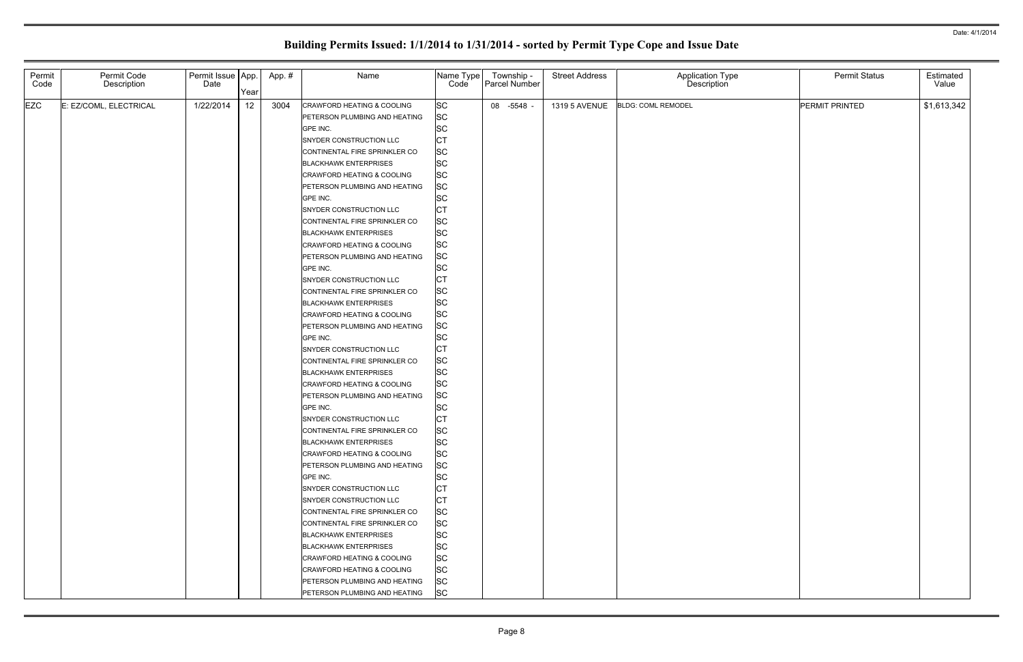| Permit<br>Code | Permit Code<br>Description | Permit Issue   App.<br>Date |                 | App.# | Name                                      | Name Type<br>Code      | Township -<br>Parcel Number | <b>Street Address</b> | Application Type<br>Description | <b>Permit Status</b> | Estimated<br>Value |
|----------------|----------------------------|-----------------------------|-----------------|-------|-------------------------------------------|------------------------|-----------------------------|-----------------------|---------------------------------|----------------------|--------------------|
|                |                            |                             | Year            |       |                                           |                        |                             |                       |                                 |                      |                    |
| <b>EZC</b>     | E: EZ/COML, ELECTRICAL     | 1/22/2014                   | 12 <sub>2</sub> | 3004  | CRAWFORD HEATING & COOLING                | <b>SC</b>              | 08 -5548                    | <b>1319 5 AVENUE</b>  | <b>BLDG: COML REMODEL</b>       | PERMIT PRINTED       | \$1,613,342        |
|                |                            |                             |                 |       | PETERSON PLUMBING AND HEATING             | <b>SC</b>              |                             |                       |                                 |                      |                    |
|                |                            |                             |                 |       | GPE INC.                                  | <b>SC</b>              |                             |                       |                                 |                      |                    |
|                |                            |                             |                 |       | SNYDER CONSTRUCTION LLC                   | <b>CT</b>              |                             |                       |                                 |                      |                    |
|                |                            |                             |                 |       | CONTINENTAL FIRE SPRINKLER CO             | <b>SC</b>              |                             |                       |                                 |                      |                    |
|                |                            |                             |                 |       | <b>BLACKHAWK ENTERPRISES</b>              | <b>SC</b>              |                             |                       |                                 |                      |                    |
|                |                            |                             |                 |       | CRAWFORD HEATING & COOLING                | <b>SC</b>              |                             |                       |                                 |                      |                    |
|                |                            |                             |                 |       | PETERSON PLUMBING AND HEATING             | <b>SC</b><br><b>SC</b> |                             |                       |                                 |                      |                    |
|                |                            |                             |                 |       | GPE INC.                                  | <b>CT</b>              |                             |                       |                                 |                      |                    |
|                |                            |                             |                 |       | SNYDER CONSTRUCTION LLC                   | <b>SC</b>              |                             |                       |                                 |                      |                    |
|                |                            |                             |                 |       | CONTINENTAL FIRE SPRINKLER CO             | <b>SC</b>              |                             |                       |                                 |                      |                    |
|                |                            |                             |                 |       | <b>BLACKHAWK ENTERPRISES</b>              | <b>SC</b>              |                             |                       |                                 |                      |                    |
|                |                            |                             |                 |       | CRAWFORD HEATING & COOLING                | <b>SC</b>              |                             |                       |                                 |                      |                    |
|                |                            |                             |                 |       | PETERSON PLUMBING AND HEATING<br>GPE INC. | <b>SC</b>              |                             |                       |                                 |                      |                    |
|                |                            |                             |                 |       | SNYDER CONSTRUCTION LLC                   | <b>CT</b>              |                             |                       |                                 |                      |                    |
|                |                            |                             |                 |       | CONTINENTAL FIRE SPRINKLER CO             | <b>SC</b>              |                             |                       |                                 |                      |                    |
|                |                            |                             |                 |       | <b>BLACKHAWK ENTERPRISES</b>              | <b>SC</b>              |                             |                       |                                 |                      |                    |
|                |                            |                             |                 |       | CRAWFORD HEATING & COOLING                | <b>SC</b>              |                             |                       |                                 |                      |                    |
|                |                            |                             |                 |       | PETERSON PLUMBING AND HEATING             | <b>SC</b>              |                             |                       |                                 |                      |                    |
|                |                            |                             |                 |       | GPE INC.                                  | <b>SC</b>              |                             |                       |                                 |                      |                    |
|                |                            |                             |                 |       | SNYDER CONSTRUCTION LLC                   | <b>CT</b>              |                             |                       |                                 |                      |                    |
|                |                            |                             |                 |       | CONTINENTAL FIRE SPRINKLER CO             | <b>SC</b>              |                             |                       |                                 |                      |                    |
|                |                            |                             |                 |       | <b>BLACKHAWK ENTERPRISES</b>              | <b>SC</b>              |                             |                       |                                 |                      |                    |
|                |                            |                             |                 |       | CRAWFORD HEATING & COOLING                | <b>SC</b>              |                             |                       |                                 |                      |                    |
|                |                            |                             |                 |       | PETERSON PLUMBING AND HEATING             | <b>SC</b>              |                             |                       |                                 |                      |                    |
|                |                            |                             |                 |       | GPE INC.                                  | <b>SC</b>              |                             |                       |                                 |                      |                    |
|                |                            |                             |                 |       | SNYDER CONSTRUCTION LLC                   | <b>CT</b>              |                             |                       |                                 |                      |                    |
|                |                            |                             |                 |       | CONTINENTAL FIRE SPRINKLER CO             | <b>SC</b>              |                             |                       |                                 |                      |                    |
|                |                            |                             |                 |       | <b>BLACKHAWK ENTERPRISES</b>              | <b>SC</b>              |                             |                       |                                 |                      |                    |
|                |                            |                             |                 |       | <b>CRAWFORD HEATING &amp; COOLING</b>     | <b>SC</b>              |                             |                       |                                 |                      |                    |
|                |                            |                             |                 |       | PETERSON PLUMBING AND HEATING             | <b>SC</b>              |                             |                       |                                 |                      |                    |
|                |                            |                             |                 |       | GPE INC.                                  | <b>SC</b>              |                             |                       |                                 |                      |                    |
|                |                            |                             |                 |       | SNYDER CONSTRUCTION LLC                   | <b>CT</b>              |                             |                       |                                 |                      |                    |
|                |                            |                             |                 |       | SNYDER CONSTRUCTION LLC                   | <b>CT</b>              |                             |                       |                                 |                      |                    |
|                |                            |                             |                 |       | CONTINENTAL FIRE SPRINKLER CO             | <b>SC</b>              |                             |                       |                                 |                      |                    |
|                |                            |                             |                 |       | CONTINENTAL FIRE SPRINKLER CO             | <b>SC</b>              |                             |                       |                                 |                      |                    |
|                |                            |                             |                 |       | <b>BLACKHAWK ENTERPRISES</b>              | <b>SC</b>              |                             |                       |                                 |                      |                    |
|                |                            |                             |                 |       | <b>BLACKHAWK ENTERPRISES</b>              | <b>SC</b>              |                             |                       |                                 |                      |                    |
|                |                            |                             |                 |       | CRAWFORD HEATING & COOLING                | <b>SC</b>              |                             |                       |                                 |                      |                    |
|                |                            |                             |                 |       | CRAWFORD HEATING & COOLING                | <b>SC</b>              |                             |                       |                                 |                      |                    |
|                |                            |                             |                 |       | PETERSON PLUMBING AND HEATING             | <b>SC</b>              |                             |                       |                                 |                      |                    |
|                |                            |                             |                 |       |                                           |                        |                             |                       |                                 |                      |                    |
|                |                            |                             |                 |       | PETERSON PLUMBING AND HEATING             | <b>SC</b>              |                             |                       |                                 |                      |                    |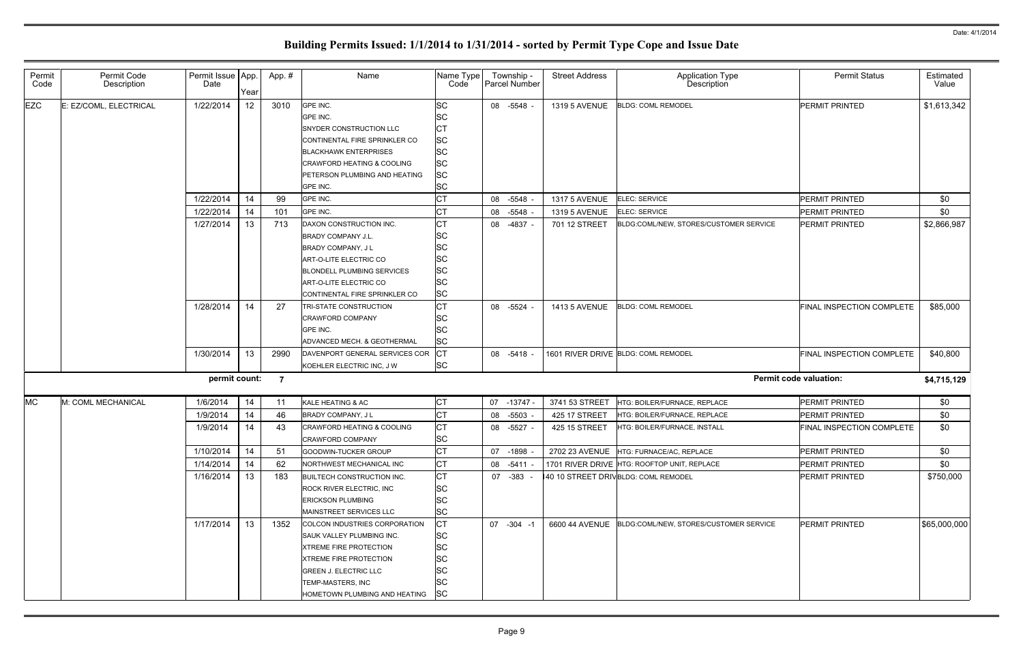| Permit<br>Code | Permit Code<br>Description | Permit Issue   App.<br>Date | Year | App.#          | Name                                                                                                                                                                                                                              | Name Type<br>Code                                                                        |    | Township -<br>Parcel Number | <b>Street Address</b> | Application Type<br>Description                       | <b>Permit Status</b>          | Estimated<br>Value |
|----------------|----------------------------|-----------------------------|------|----------------|-----------------------------------------------------------------------------------------------------------------------------------------------------------------------------------------------------------------------------------|------------------------------------------------------------------------------------------|----|-----------------------------|-----------------------|-------------------------------------------------------|-------------------------------|--------------------|
| <b>EZC</b>     | : EZ/COML, ELECTRICAL      | 1/22/2014                   | 12   | 3010           | GPE INC.<br>GPE INC.<br>SNYDER CONSTRUCTION LLC<br>CONTINENTAL FIRE SPRINKLER CO<br><b>BLACKHAWK ENTERPRISES</b><br><b>CRAWFORD HEATING &amp; COOLING</b><br>PETERSON PLUMBING AND HEATING<br>GPE INC.                            | <b>SC</b><br>lSC<br>IСT<br><b>SC</b><br><b>SC</b><br><b>SC</b><br><b>SC</b><br><b>SC</b> |    | 08 -5548                    | 1319 5 AVENUE         | <b>BLDG: COML REMODEL</b>                             | <b>PERMIT PRINTED</b>         | \$1,613,342        |
|                |                            | 1/22/2014                   | 14   | 99             | GPE INC.                                                                                                                                                                                                                          | <b>CT</b>                                                                                |    | 08 -5548                    | <b>1317 5 AVENUE</b>  | <b>ELEC: SERVICE</b>                                  | <b>PERMIT PRINTED</b>         | \$0                |
|                |                            | 1/22/2014                   | 14   | 101            | GPE INC.                                                                                                                                                                                                                          | IСТ                                                                                      | 08 | -5548                       | <b>1319 5 AVENUE</b>  | <b>ELEC: SERVICE</b>                                  | <b>PERMIT PRINTED</b>         | \$0                |
|                |                            | 1/27/2014                   | 13   | 713            | DAXON CONSTRUCTION INC.<br><b>BRADY COMPANY J.L.</b><br>BRADY COMPANY, J L<br>ART-O-LITE ELECTRIC CO<br><b>BLONDELL PLUMBING SERVICES</b><br>ART-O-LITE ELECTRIC CO<br>CONTINENTAL FIRE SPRINKLER CO                              | Iст<br><b>SC</b><br><b>SC</b><br>lsc<br><b>SC</b><br><b>SC</b><br><b>SC</b>              | 08 | -4837                       | 701 12 STREET         | BLDG:COML/NEW, STORES/CUSTOMER SERVICE                | PERMIT PRINTED                | \$2,866,987        |
|                |                            | 1/28/2014                   | 14   | 27             | <b>TRI-STATE CONSTRUCTION</b><br><b>CRAWFORD COMPANY</b><br>GPE INC.<br>ADVANCED MECH. & GEOTHERMAL                                                                                                                               | Iст<br>lsc<br><b>SC</b><br><b>SC</b>                                                     |    | 08 -5524                    | 1413 5 AVENUE         | <b>BLDG: COML REMODEL</b>                             | FINAL INSPECTION COMPLETE     | \$85,000           |
|                |                            | 1/30/2014                   | 13   | 2990           | DAVENPORT GENERAL SERVICES COR<br>KOEHLER ELECTRIC INC, J W                                                                                                                                                                       | CT<br><b>SC</b>                                                                          |    | 08 -5418                    |                       | 1601 RIVER DRIVE BLDG: COML REMODEL                   | FINAL INSPECTION COMPLETE     | \$40,800           |
|                |                            | permit count:               |      | $\overline{7}$ |                                                                                                                                                                                                                                   |                                                                                          |    |                             |                       |                                                       | <b>Permit code valuation:</b> | \$4,715,129        |
| <b>MC</b>      | M: COML MECHANICAL         | 1/6/2014                    | 14   | 11             | KALE HEATING & AC                                                                                                                                                                                                                 | <b>CT</b>                                                                                |    | 07 -13747                   | 3741 53 STREET        | HTG: BOILER/FURNACE, REPLACE                          | PERMIT PRINTED                | \$0                |
|                |                            | 1/9/2014                    | 14   | 46             | <b>BRADY COMPANY, JL</b>                                                                                                                                                                                                          | Iст                                                                                      |    | 08 -5503                    | 425 17 STREET         | HTG: BOILER/FURNACE, REPLACE                          | PERMIT PRINTED                | \$0                |
|                |                            | 1/9/2014                    | 14   | 43             | <b>CRAWFORD HEATING &amp; COOLING</b><br><b>CRAWFORD COMPANY</b>                                                                                                                                                                  | СT<br>lsc.                                                                               | 08 | -5527                       | 425 15 STREET         | HTG: BOILER/FURNACE, INSTALL                          | FINAL INSPECTION COMPLETE     | \$0                |
|                |                            | 1/10/2014                   | 14   | 51             | GOODWIN-TUCKER GROUP                                                                                                                                                                                                              | <b>CT</b>                                                                                |    | 07 -1898                    |                       | 2702 23 AVENUE HTG: FURNACE/AC, REPLACE               | <b>PERMIT PRINTED</b>         | \$0                |
|                |                            | 1/14/2014                   | 14   | 62             | NORTHWEST MECHANICAL INC                                                                                                                                                                                                          | <b>CT</b>                                                                                |    | 08 -5411                    |                       | 1701 RIVER DRIVE HTG: ROOFTOP UNIT, REPLACE           | PERMIT PRINTED                | \$0                |
|                |                            | 1/16/2014                   | 13   | 183            | <b>BUILTECH CONSTRUCTION INC.</b><br><b>ROCK RIVER ELECTRIC, INC.</b><br><b>ERICKSON PLUMBING</b><br>MAINSTREET SERVICES LLC                                                                                                      | <b>CT</b><br><b>SC</b><br><b>SC</b><br><b>SC</b>                                         |    | 07 - 383 -                  |                       | 40 10 STREET DRIVBLDG: COML REMODEL                   | <b>PERMIT PRINTED</b>         | \$750,000          |
|                |                            | 1/17/2014                   | 13   | 1352           | <b>COLCON INDUSTRIES CORPORATION</b><br><b>ISAUK VALLEY PLUMBING INC.</b><br><b>XTREME FIRE PROTECTION</b><br><b>XTREME FIRE PROTECTION</b><br><b>GREEN J. ELECTRIC LLC</b><br>TEMP-MASTERS, INC<br>HOMETOWN PLUMBING AND HEATING | <b>CT</b><br><b>SC</b><br><b>SC</b><br><b>SC</b><br><b>SC</b><br><b>SC</b><br><b>SC</b>  |    | 07 -304 -1                  |                       | 6600 44 AVENUE BLDG:COML/NEW, STORES/CUSTOMER SERVICE | <b>PERMIT PRINTED</b>         | \$65,000,000       |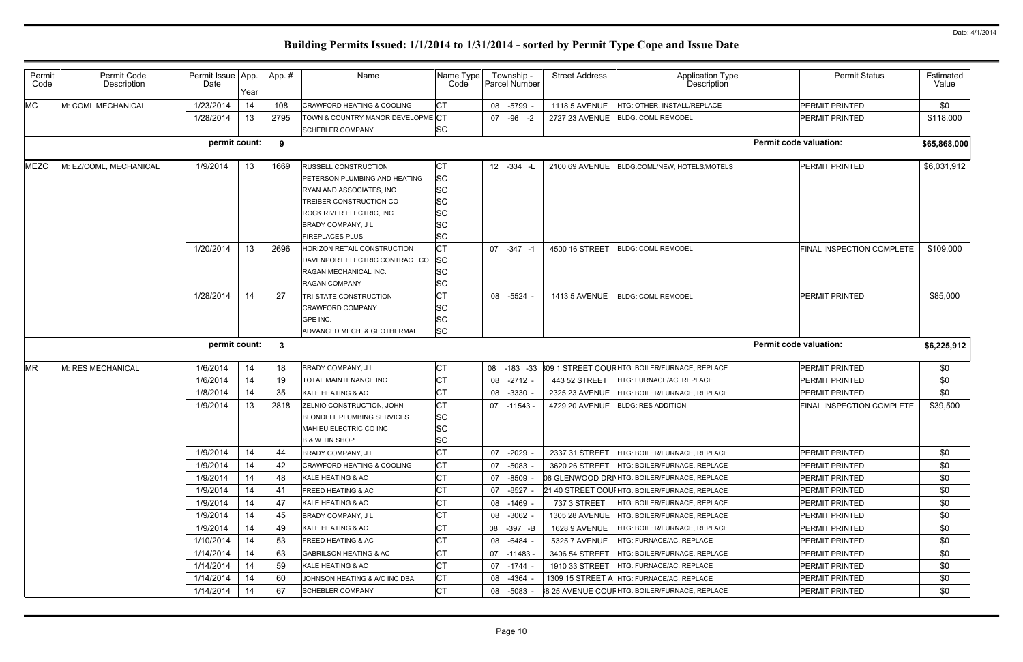| Permit<br>Code | Permit Code<br>Description | Permit Issue   App.<br>Date | Year | App.#        | Name                                  | Name Type<br>Code | Township -<br>Parcel Number | <b>Street Address</b> | Application Type<br>Description               | <b>Permit Status</b>             | Estimated<br>Value |
|----------------|----------------------------|-----------------------------|------|--------------|---------------------------------------|-------------------|-----------------------------|-----------------------|-----------------------------------------------|----------------------------------|--------------------|
| <b>MC</b>      | M: COML MECHANICAL         | 1/23/2014                   | 14   | 108          | <b>CRAWFORD HEATING &amp; COOLING</b> | ◡                 | 08 -5799                    | <b>1118 5 AVENUE</b>  | HTG: OTHER, INSTALL/REPLACE                   | <b>PERMIT PRINTED</b>            | \$0                |
|                |                            | 1/28/2014                   | 13   | 2795         | TOWN & COUNTRY MANOR DEVELOPME CT     |                   | 07 - 96 - 2                 | 2727 23 AVENUE        | <b>BLDG: COML REMODEL</b>                     | <b>PERMIT PRINTED</b>            | \$118,000          |
|                |                            |                             |      |              | <b>SCHEBLER COMPANY</b>               | SC                |                             |                       |                                               |                                  |                    |
|                |                            | permit count:               |      | 9            |                                       |                   |                             |                       |                                               | <b>Permit code valuation:</b>    | \$65,868,000       |
| <b>MEZC</b>    | M: EZ/COML, MECHANICAL     | 1/9/2014                    | 13   | 1669         | <b>RUSSELL CONSTRUCTION</b>           | IСT               | $12 - 334 - 1$              | 2100 69 AVENUE        | BLDG:COML/NEW, HOTELS/MOTELS                  | <b>PERMIT PRINTED</b>            | \$6,031,912        |
|                |                            |                             |      |              | PETERSON PLUMBING AND HEATING         | SC                |                             |                       |                                               |                                  |                    |
|                |                            |                             |      |              | RYAN AND ASSOCIATES, INC.             | SC                |                             |                       |                                               |                                  |                    |
|                |                            |                             |      |              | TREIBER CONSTRUCTION CO               | SC                |                             |                       |                                               |                                  |                    |
|                |                            |                             |      |              | <b>ROCK RIVER ELECTRIC, INC</b>       | SC                |                             |                       |                                               |                                  |                    |
|                |                            |                             |      |              | BRADY COMPANY, JL                     | SC                |                             |                       |                                               |                                  |                    |
|                |                            |                             |      |              | <b>FIREPLACES PLUS</b>                | SC                |                             |                       |                                               |                                  |                    |
|                |                            | 1/20/2014                   | 13   | 2696         | HORIZON RETAIL CONSTRUCTION           | CТ                | 07 -347 -1                  | 4500 16 STREET        | <b>BLDG: COML REMODEL</b>                     | <b>FINAL INSPECTION COMPLETE</b> | \$109,000          |
|                |                            |                             |      |              | DAVENPORT ELECTRIC CONTRACT CO        | <b>SC</b>         |                             |                       |                                               |                                  |                    |
|                |                            |                             |      |              | RAGAN MECHANICAL INC.                 | SC                |                             |                       |                                               |                                  |                    |
|                |                            |                             |      |              | <b>RAGAN COMPANY</b>                  | SC                |                             |                       |                                               |                                  |                    |
|                |                            | 1/28/2014                   | 14   | 27           | TRI-STATE CONSTRUCTION                | ЮI                | 08 -5524                    | <b>1413 5 AVENUE</b>  | <b>BLDG: COML REMODEL</b>                     | <b>PERMIT PRINTED</b>            | \$85,000           |
|                |                            |                             |      |              | <b>CRAWFORD COMPANY</b>               | SC                |                             |                       |                                               |                                  |                    |
|                |                            |                             |      |              | GPE INC.                              | SC<br><b>SC</b>   |                             |                       |                                               |                                  |                    |
|                |                            |                             |      |              | ADVANCED MECH. & GEOTHERMAL           |                   |                             |                       |                                               |                                  |                    |
|                |                            | permit count:               |      | $\mathbf{3}$ |                                       |                   |                             |                       |                                               | <b>Permit code valuation:</b>    | \$6,225,912        |
| <b>MR</b>      | M: RES MECHANICAL          | 1/6/2014                    | 14   | 18           | BRADY COMPANY, J L                    | <b>ICT</b>        | 08 -183 -33                 |                       | 309 1 STREET COURHTG: BOILER/FURNACE, REPLACE | <b>PERMIT PRINTED</b>            | \$0                |
|                |                            | 1/6/2014                    | 14   | 19           | TOTAL MAINTENANCE INC                 | СT                | 08 -2712                    | 443 52 STREET         | HTG: FURNACE/AC, REPLACE                      | <b>PERMIT PRINTED</b>            | \$0                |
|                |                            | 1/8/2014                    | 14   | 35           | KALE HEATING & AC                     | <b>CT</b>         | 08 -3330                    | 2325 23 AVENUE        | HTG: BOILER/FURNACE, REPLACE                  | PERMIT PRINTED                   | \$0                |
|                |                            | 1/9/2014                    | 13   | 2818         | ZELNIO CONSTRUCTION, JOHN             | <b>CT</b>         | 07 -11543                   | 4729 20 AVENUE        | <b>BLDG: RES ADDITION</b>                     | FINAL INSPECTION COMPLETE        | \$39,500           |
|                |                            |                             |      |              | <b>BLONDELL PLUMBING SERVICES</b>     | <b>SC</b>         |                             |                       |                                               |                                  |                    |
|                |                            |                             |      |              | MAHIEU ELECTRIC CO INC                | SC                |                             |                       |                                               |                                  |                    |
|                |                            |                             |      |              | <b>B &amp; W TIN SHOP</b>             | <b>SC</b>         |                             |                       |                                               |                                  |                    |
|                |                            | 1/9/2014                    | 14   | 44           | BRADY COMPANY, JL                     |                   | 07 -2029                    | 2337 31 STREET        | HTG: BOILER/FURNACE, REPLACE                  | <b>PERMIT PRINTED</b>            | \$0                |
|                |                            | 1/9/2014                    | 14   | 42           | <b>CRAWFORD HEATING &amp; COOLING</b> | СT                | 07 -5083                    | 3620 26 STREET        | HTG: BOILER/FURNACE, REPLACE                  | PERMIT PRINTED                   | \$0                |
|                |                            | 1/9/2014                    | 14   | 48           | KALE HEATING & AC                     |                   | 07 -8509                    |                       | 06 GLENWOOD DRINHTG: BOILER/FURNACE, REPLACE  | PERMIT PRINTED                   | \$0                |
|                |                            | 1/9/2014                    | 14   | 41           | <b>FREED HEATING &amp; AC</b>         | СT                | 07 -8527                    |                       | 21 40 STREET COUIHTG: BOILER/FURNACE, REPLACE | <b>PERMIT PRINTED</b>            | \$0                |
|                |                            | 1/9/2014                    | 14   | 47           | KALE HEATING & AC                     |                   | 08 -1469                    | 737 3 STREET          | HTG: BOILER/FURNACE, REPLACE                  | <b>PERMIT PRINTED</b>            | \$0                |
|                |                            | 1/9/2014                    | 14   | 45           | BRADY COMPANY, J L                    |                   | 08 -3062 -                  | <b>1305 28 AVENUE</b> | HTG: BOILER/FURNACE, REPLACE                  | <b>PERMIT PRINTED</b>            | \$0                |
|                |                            |                             |      |              |                                       |                   |                             |                       |                                               |                                  |                    |
|                |                            | 1/9/2014                    | 14   | 49           | KALE HEATING & AC                     |                   | 08 -397 -B                  | <b>1628 9 AVENUE</b>  | HTG: BOILER/FURNACE, REPLACE                  | PERMIT PRINTED                   | \$0                |
|                |                            | 1/10/2014                   | 14   | 53           | <b>FREED HEATING &amp; AC</b>         | СT                | 08 -6484                    | 5325 7 AVENUE         | HTG: FURNACE/AC, REPLACE                      | <b>PERMIT PRINTED</b>            | \$0                |
|                |                            | 1/14/2014                   | 14   | 63           | <b>GABRILSON HEATING &amp; AC</b>     | СT                | 07 -11483                   | 3406 54 STREET        | HTG: BOILER/FURNACE, REPLACE                  | <b>PERMIT PRINTED</b>            | \$0                |
|                |                            | 1/14/2014                   | 14   | 59           | KALE HEATING & AC                     | СT                | 07 -1744                    | 1910 33 STREET        | HTG: FURNACE/AC, REPLACE                      | <b>PERMIT PRINTED</b>            | \$0                |
|                |                            | 1/14/2014                   | 14   | 60           | JOHNSON HEATING & A/C INC DBA         | СT                | 08 -4364                    | 1309 15 STREET A      | HTG: FURNACE/AC, REPLACE                      | PERMIT PRINTED                   | \$0                |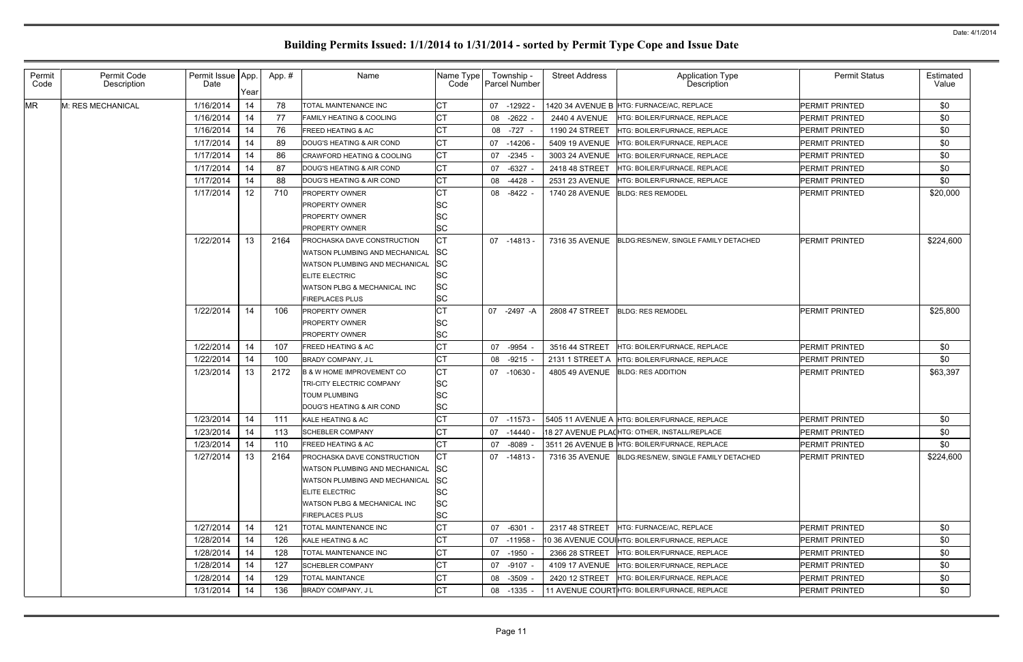| Permit<br>Code | Permit Code<br>Description | Permit Issue App.<br>Date | Year | App.# | Name                                                   | Name Type<br>Code      |           | Township -<br>Parcel Number | <b>Street Address</b> | Application Type<br>Description                     | <b>Permit Status</b>  | Estimated<br>Value |
|----------------|----------------------------|---------------------------|------|-------|--------------------------------------------------------|------------------------|-----------|-----------------------------|-----------------------|-----------------------------------------------------|-----------------------|--------------------|
| <b>MR</b>      | M: RES MECHANICAL          | 1/16/2014                 | 14   | 78    | <b>TOTAL MAINTENANCE INC</b>                           | IСT                    |           | 07 -12922                   |                       | 1420 34 AVENUE B HTG: FURNACE/AC, REPLACE           | <b>PERMIT PRINTED</b> | \$0                |
|                |                            | 1/16/2014                 | 14   | 77    | <b>FAMILY HEATING &amp; COOLING</b>                    | СT                     |           | 08 -2622                    | <b>2440 4 AVENUE</b>  | HTG: BOILER/FURNACE, REPLACE                        | <b>PERMIT PRINTED</b> | \$0                |
|                |                            | 1/16/2014                 | 14   | 76    | <b>FREED HEATING &amp; AC</b>                          |                        | 08        | -727                        | 1190 24 STREET        | HTG: BOILER/FURNACE, REPLACE                        | <b>PERMIT PRINTED</b> | \$0                |
|                |                            | 1/17/2014                 | 14   | 89    | DOUG'S HEATING & AIR COND                              |                        | 07 -14206 |                             | 5409 19 AVENUE        | HTG: BOILER/FURNACE, REPLACE                        | <b>PERMIT PRINTED</b> | \$0                |
|                |                            | 1/17/2014                 | 14   | 86    | <b>CRAWFORD HEATING &amp; COOLING</b>                  |                        | 07        | $-2345$                     | 3003 24 AVENUE        | HTG: BOILER/FURNACE, REPLACE                        | <b>PERMIT PRINTED</b> | \$0                |
|                |                            | 1/17/2014                 | 14   | 87    | DOUG'S HEATING & AIR COND                              | <b>CT</b>              | 07        | $-6327$                     | 2418 48 STREET        | HTG: BOILER/FURNACE, REPLACE                        | <b>PERMIT PRINTED</b> | \$0                |
|                |                            | 1/17/2014                 | 14   | 88    | DOUG'S HEATING & AIR COND                              | СT                     | 08        | -4428                       | 2531 23 AVENUE        | HTG: BOILER/FURNACE, REPLACE                        | <b>PERMIT PRINTED</b> | \$0                |
|                |                            | 1/17/2014                 | 12   | 710   | <b>PROPERTY OWNER</b>                                  |                        | 08        | $-8422$                     | 1740 28 AVENUE        | <b>BLDG: RES REMODEL</b>                            | PERMIT PRINTED        | \$20,000           |
|                |                            |                           |      |       | <b>PROPERTY OWNER</b>                                  | <b>SC</b>              |           |                             |                       |                                                     |                       |                    |
|                |                            |                           |      |       | <b>PROPERTY OWNER</b>                                  | <b>SC</b>              |           |                             |                       |                                                     |                       |                    |
|                |                            |                           |      |       | <b>PROPERTY OWNER</b>                                  | <b>SC</b>              |           |                             |                       |                                                     |                       |                    |
|                |                            | 1/22/2014                 | 13   | 2164  | PROCHASKA DAVE CONSTRUCTION                            | CТ                     |           | 07 -14813                   | 7316 35 AVENUE        | BLDG:RES/NEW, SINGLE FAMILY DETACHED                | <b>PERMIT PRINTED</b> | \$224,600          |
|                |                            |                           |      |       | WATSON PLUMBING AND MECHANICAL                         | <b>SC</b>              |           |                             |                       |                                                     |                       |                    |
|                |                            |                           |      |       | WATSON PLUMBING AND MECHANICAL                         | <b>SC</b>              |           |                             |                       |                                                     |                       |                    |
|                |                            |                           |      |       | <b>ELITE ELECTRIC</b>                                  | <b>SC</b>              |           |                             |                       |                                                     |                       |                    |
|                |                            |                           |      |       | WATSON PLBG & MECHANICAL INC<br><b>FIREPLACES PLUS</b> | <b>SC</b><br><b>SC</b> |           |                             |                       |                                                     |                       |                    |
|                |                            | 1/22/2014                 | 14   | 106   | <b>PROPERTY OWNER</b>                                  |                        |           | 07 -2497 -A                 | 2808 47 STREET        | <b>BLDG: RES REMODEL</b>                            | PERMIT PRINTED        | \$25,800           |
|                |                            |                           |      |       | <b>PROPERTY OWNER</b>                                  | <b>SC</b>              |           |                             |                       |                                                     |                       |                    |
|                |                            |                           |      |       | <b>PROPERTY OWNER</b>                                  | <b>SC</b>              |           |                             |                       |                                                     |                       |                    |
|                |                            | 1/22/2014                 | 14   | 107   | <b>FREED HEATING &amp; AC</b>                          |                        | 07        | $-9954$                     | 3516 44 STREET        | HTG: BOILER/FURNACE, REPLACE                        | PERMIT PRINTED        | \$0                |
|                |                            | 1/22/2014                 | 14   | 100   | <b>BRADY COMPANY, JL</b>                               |                        | 08        | $-9215$                     | 2131 1 STREET A       | HTG: BOILER/FURNACE, REPLACE                        | <b>PERMIT PRINTED</b> | \$0                |
|                |                            | 1/23/2014                 | 13   | 2172  | <b>B &amp; W HOME IMPROVEMENT CO</b>                   | ÇТ                     |           | 07 -10630                   | 4805 49 AVENUE        | <b>BLDG: RES ADDITION</b>                           | <b>PERMIT PRINTED</b> | \$63,397           |
|                |                            |                           |      |       | TRI-CITY ELECTRIC COMPANY                              | <b>SC</b>              |           |                             |                       |                                                     |                       |                    |
|                |                            |                           |      |       | <b>TOUM PLUMBING</b>                                   | <b>SC</b>              |           |                             |                       |                                                     |                       |                    |
|                |                            |                           |      |       | DOUG'S HEATING & AIR COND                              | <b>SC</b>              |           |                             |                       |                                                     |                       |                    |
|                |                            | 1/23/2014                 | 14   | 111   | KALE HEATING & AC                                      |                        |           | 07 -11573                   |                       | 5405 11 AVENUE A HTG: BOILER/FURNACE, REPLACE       | PERMIT PRINTED        | \$0                |
|                |                            | 1/23/2014                 | 14   | 113   | <b>SCHEBLER COMPANY</b>                                |                        |           | 07 -14440 -                 |                       | 18 27 AVENUE PLA(HTG: OTHER, INSTALL/REPLACE        | PERMIT PRINTED        | \$0                |
|                |                            | 1/23/2014                 | 14   | 110   | <b>FREED HEATING &amp; AC</b>                          |                        |           | 07 -8089 -                  |                       | 3511 26 AVENUE B HTG: BOILER/FURNACE, REPLACE       | PERMIT PRINTED        | \$0                |
|                |                            | 1/27/2014                 | 13   | 2164  | PROCHASKA DAVE CONSTRUCTION                            |                        |           | 07 -14813 -                 |                       | 7316 35 AVENUE BLDG:RES/NEW, SINGLE FAMILY DETACHED | PERMIT PRINTED        | \$224,600          |
|                |                            |                           |      |       | WATSON PLUMBING AND MECHANICAL                         | <b>SC</b>              |           |                             |                       |                                                     |                       |                    |
|                |                            |                           |      |       | WATSON PLUMBING AND MECHANICAL                         | <b>SC</b>              |           |                             |                       |                                                     |                       |                    |
|                |                            |                           |      |       | <b>ELITE ELECTRIC</b>                                  | <b>SC</b>              |           |                             |                       |                                                     |                       |                    |
|                |                            |                           |      |       | WATSON PLBG & MECHANICAL INC                           | <b>SC</b>              |           |                             |                       |                                                     |                       |                    |
|                |                            |                           |      |       | <b>FIREPLACES PLUS</b>                                 | <b>SC</b>              |           |                             |                       |                                                     |                       |                    |
|                |                            | 1/27/2014                 | 14   | 121   | TOTAL MAINTENANCE INC                                  | СT                     |           | 07 -6301                    | 2317 48 STREET        | HTG: FURNACE/AC, REPLACE                            | PERMIT PRINTED        | \$0                |
|                |                            | 1/28/2014                 | 14   | 126   | KALE HEATING & AC                                      | СT                     |           | 07 -11958                   |                       | 10 36 AVENUE COUIHTG: BOILER/FURNACE, REPLACE       | <b>PERMIT PRINTED</b> | \$0                |
|                |                            | 1/28/2014                 | 14   | 128   | TOTAL MAINTENANCE INC                                  | <b>CT</b>              |           | 07 -1950                    | 2366 28 STREET        | HTG: BOILER/FURNACE, REPLACE                        | PERMIT PRINTED        | \$0                |
|                |                            | 1/28/2014                 | 14   | 127   | <b>SCHEBLER COMPANY</b>                                | <b>CT</b>              |           | 07 -9107 -                  | 4109 17 AVENUE        | HTG: BOILER/FURNACE, REPLACE                        | PERMIT PRINTED        | \$0                |
|                |                            | 1/28/2014                 | 14   | 129   | <b>TOTAL MAINTANCE</b>                                 | СT                     |           | 08 -3509                    | 2420 12 STREET        | HTG: BOILER/FURNACE, REPLACE                        | PERMIT PRINTED        | \$0                |
|                |                            | 1/31/2014                 | 14   | 136   | BRADY COMPANY, J L                                     | CТ                     |           | 08 -1335                    |                       | 11 AVENUE COURTHTG: BOILER/FURNACE, REPLACE         | PERMIT PRINTED        | \$0                |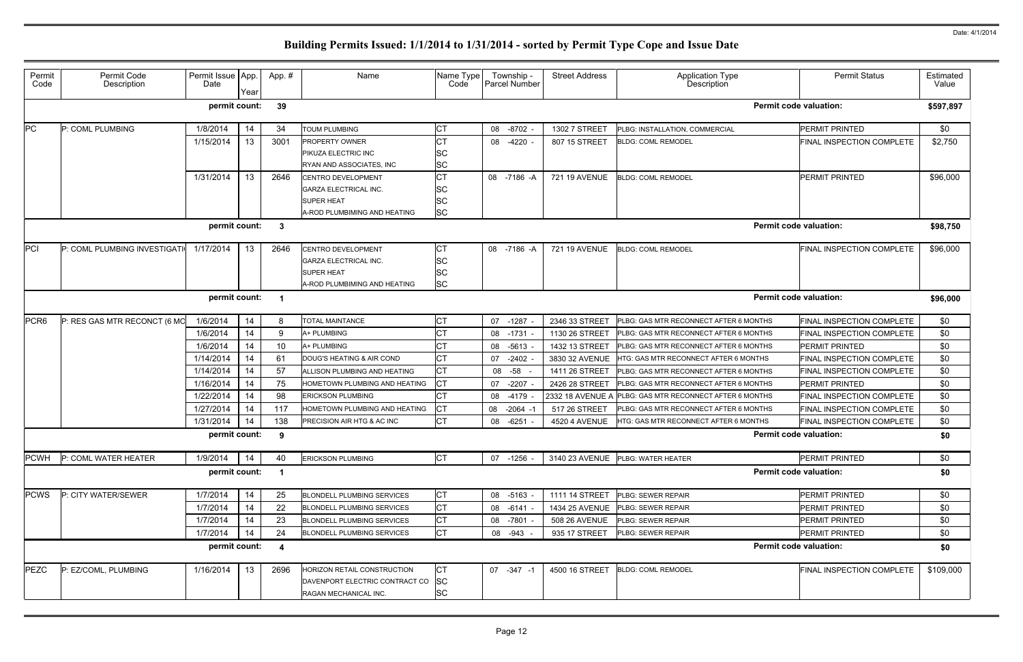|               | <b>Permit Status</b>                                                                                                                                                                                                            |                           |  |  |  |
|---------------|---------------------------------------------------------------------------------------------------------------------------------------------------------------------------------------------------------------------------------|---------------------------|--|--|--|
|               |                                                                                                                                                                                                                                 | <b>Estimated</b><br>Value |  |  |  |
|               |                                                                                                                                                                                                                                 | \$597,897                 |  |  |  |
|               | PERMIT PRINTED                                                                                                                                                                                                                  | \$0                       |  |  |  |
|               | FINAL INSPECTION COMPLETE                                                                                                                                                                                                       | \$2,750                   |  |  |  |
|               | PERMIT PRINTED                                                                                                                                                                                                                  | \$96,000                  |  |  |  |
|               |                                                                                                                                                                                                                                 | \$98,750                  |  |  |  |
|               | FINAL INSPECTION COMPLETE                                                                                                                                                                                                       | \$96,000                  |  |  |  |
|               | \$96,000                                                                                                                                                                                                                        |                           |  |  |  |
| <b>IONTHS</b> | FINAL INSPECTION COMPLETE                                                                                                                                                                                                       | \$0                       |  |  |  |
| <b>IONTHS</b> | FINAL INSPECTION COMPLETE                                                                                                                                                                                                       | \$0                       |  |  |  |
| <b>IONTHS</b> | PERMIT PRINTED                                                                                                                                                                                                                  | \$0                       |  |  |  |
| <b>ONTHS</b>  | FINAL INSPECTION COMPLETE                                                                                                                                                                                                       | \$0                       |  |  |  |
| <b>IONTHS</b> | FINAL INSPECTION COMPLETE                                                                                                                                                                                                       | \$0                       |  |  |  |
| <b>IONTHS</b> | PERMIT PRINTED                                                                                                                                                                                                                  | \$0                       |  |  |  |
| <b>IONTHS</b> | <b>FINAL INSPECTION COMPLETE</b>                                                                                                                                                                                                | \$0                       |  |  |  |
| <b>IONTHS</b> | FINAL INSPECTION COMPLETE                                                                                                                                                                                                       | \$0                       |  |  |  |
| <b>ONTHS</b>  | FINAL INSPECTION COMPLETE                                                                                                                                                                                                       | \$0                       |  |  |  |
|               |                                                                                                                                                                                                                                 | \$0                       |  |  |  |
|               | PERMIT PRINTED                                                                                                                                                                                                                  | \$0                       |  |  |  |
|               |                                                                                                                                                                                                                                 | \$0                       |  |  |  |
|               | PERMIT PRINTED                                                                                                                                                                                                                  | \$0                       |  |  |  |
|               | PERMIT PRINTED                                                                                                                                                                                                                  | \$0                       |  |  |  |
|               | PERMIT PRINTED                                                                                                                                                                                                                  | \$0                       |  |  |  |
|               | PERMIT PRINTED                                                                                                                                                                                                                  | \$0                       |  |  |  |
|               |                                                                                                                                                                                                                                 | \$0                       |  |  |  |
|               | <b>Permit code valuation:</b><br><b>Permit code valuation:</b><br><b>Permit code valuation:</b><br><b>Permit code valuation:</b><br><b>Permit code valuation:</b><br><b>Permit code valuation:</b><br>FINAL INSPECTION COMPLETE |                           |  |  |  |

| Permit<br>Code   | Permit Code<br>Description   | Permit Issue   App.<br>Date | Year             | App.#            | Name                              | Name Type<br>Code | Township -<br>Parcel Number | <b>Street Address</b> | Application Type<br>Description                         | <b>Permit Status</b>             | Estimated<br>Value |
|------------------|------------------------------|-----------------------------|------------------|------------------|-----------------------------------|-------------------|-----------------------------|-----------------------|---------------------------------------------------------|----------------------------------|--------------------|
|                  |                              | permit count:               |                  | 39               |                                   |                   |                             |                       |                                                         | <b>Permit code valuation:</b>    | \$597,897          |
| PC               | P: COML PLUMBING             | 1/8/2014                    | 14               | 34               | <b>TOUM PLUMBING</b>              | СT                | $-8702$<br>08               | 1302 7 STREET         | PLBG: INSTALLATION, COMMERCIAL                          | PERMIT PRINTED                   | \$0                |
|                  |                              | 1/15/2014                   | 13 <sup>2</sup>  | 3001             | <b>PROPERTY OWNER</b>             | СT                | $-4220 -$<br>08             | 807 15 STREET         | <b>BLDG: COML REMODEL</b>                               | FINAL INSPECTION COMPLETE        | \$2,750            |
|                  |                              |                             |                  |                  | PIKUZA ELECTRIC INC               | SC                |                             |                       |                                                         |                                  |                    |
|                  |                              |                             |                  |                  | RYAN AND ASSOCIATES. INC          | SC                |                             |                       |                                                         |                                  |                    |
|                  |                              | 1/31/2014                   | 13 <sup>13</sup> | 2646             | CENTRO DEVELOPMENT                | <b>CT</b>         | 08 -7186 -A                 | <b>721 19 AVENUE</b>  | <b>BLDG: COML REMODEL</b>                               | PERMIT PRINTED                   | \$96,000           |
|                  |                              |                             |                  |                  | <b>GARZA ELECTRICAL INC.</b>      | SC                |                             |                       |                                                         |                                  |                    |
|                  |                              |                             |                  |                  | <b>SUPER HEAT</b>                 | SC                |                             |                       |                                                         |                                  |                    |
|                  |                              |                             |                  |                  | 4-ROD PLUMBIMING AND HEATING      | <b>SC</b>         |                             |                       |                                                         |                                  |                    |
|                  |                              | permit count:               |                  | $\mathbf{3}$     |                                   |                   |                             |                       |                                                         | <b>Permit code valuation:</b>    | \$98,750           |
| PCI              | P: COML PLUMBING INVESTIGATI | 1/17/2014                   | 13               | 2646             | CENTRO DEVELOPMENT                | СT                | 08 -7186 -A                 | <b>721 19 AVENUE</b>  | <b>BLDG: COML REMODEL</b>                               | FINAL INSPECTION COMPLETE        | \$96,000           |
|                  |                              |                             |                  |                  | <b>GARZA ELECTRICAL INC.</b>      | SC                |                             |                       |                                                         |                                  |                    |
|                  |                              |                             |                  |                  | SUPER HEAT                        | SC                |                             |                       |                                                         |                                  |                    |
|                  |                              |                             |                  |                  | A-ROD PLUMBIMING AND HEATING      | <b>SC</b>         |                             |                       |                                                         |                                  |                    |
|                  |                              | permit count:               |                  | - 1              |                                   |                   |                             |                       |                                                         | <b>Permit code valuation:</b>    | \$96,000           |
| PCR <sub>6</sub> | P: RES GAS MTR RECONCT (6 MO | 1/6/2014                    | 14               | 8                | <b>TOTAL MAINTANCE</b>            | <b>CT</b>         | $-1287$<br>07               | 2346 33 STREET        | PLBG: GAS MTR RECONNECT AFTER 6 MONTHS                  | FINAL INSPECTION COMPLETE        | \$0                |
|                  |                              | 1/6/2014                    | 14               | 9                | 4+ PLUMBING                       | СT                | $-1731$<br>08               | 1130 26 STREET        | PLBG: GAS MTR RECONNECT AFTER 6 MONTHS                  | FINAL INSPECTION COMPLETE        | \$0                |
|                  |                              | 1/6/2014                    | 14               | 10               | A+ PLUMBING                       | CT                | $-5613$<br>08               | 1432 13 STREET        | PLBG: GAS MTR RECONNECT AFTER 6 MONTHS                  | PERMIT PRINTED                   | \$0                |
|                  |                              | 1/14/2014                   | 14               | 61               | DOUG'S HEATING & AIR COND         | <b>CT</b>         | $-2402$<br>07               | 3830 32 AVENUE        | HTG: GAS MTR RECONNECT AFTER 6 MONTHS                   | FINAL INSPECTION COMPLETE        | \$0                |
|                  |                              | 1/14/2014                   | 14               | 57               | ALLISON PLUMBING AND HEATING      | <b>CT</b>         | -58<br>08                   | 1411 26 STREET        | PLBG: GAS MTR RECONNECT AFTER 6 MONTHS                  | FINAL INSPECTION COMPLETE        | \$0                |
|                  |                              | 1/16/2014                   | 14               | 75               | HOMETOWN PLUMBING AND HEATING     | СT                | $-2207$<br>07               | 2426 28 STREET        | PLBG: GAS MTR RECONNECT AFTER 6 MONTHS                  | PERMIT PRINTED                   | \$0                |
|                  |                              | 1/22/2014                   | 14               | 98               | <b>ERICKSON PLUMBING</b>          | <b>CT</b>         | $-4179$<br>08               |                       | 2332 18 AVENUE A PLBG: GAS MTR RECONNECT AFTER 6 MONTHS | FINAL INSPECTION COMPLETE        | \$0                |
|                  |                              | 1/27/2014                   | 14               | 117              | HOMETOWN PLUMBING AND HEATING     | <b>CT</b>         | 08<br>$-2064 -1$            | 517 26 STREET         | PLBG: GAS MTR RECONNECT AFTER 6 MONTHS                  | FINAL INSPECTION COMPLETE        | \$0                |
|                  |                              | 1/31/2014                   | 14               | 138              | PRECISION AIR HTG & AC INC        | <b>CT</b>         | $-6251$<br>08               | 4520 4 AVENUE         | HTG: GAS MTR RECONNECT AFTER 6 MONTHS                   | FINAL INSPECTION COMPLETE        | \$0                |
|                  |                              | permit count:               |                  | 9                |                                   |                   |                             |                       |                                                         | <b>Permit code valuation:</b>    | \$0                |
| <b>PCWH</b>      | P: COML WATER HEATER         | 1/9/2014                    | 14               | 40               | <b>ERICKSON PLUMBING</b>          | <b>CT</b>         | 07 -1256 -                  |                       | 3140 23 AVENUE PLBG: WATER HEATER                       | PERMIT PRINTED                   | \$0                |
|                  |                              | permit count:               |                  | - 1              |                                   |                   |                             |                       |                                                         | <b>Permit code valuation:</b>    | \$0                |
| <b>PCWS</b>      | P: CITY WATER/SEWER          | 1/7/2014                    | 14               | 25               | <b>BLONDELL PLUMBING SERVICES</b> | СT                | 08 -5163                    | 1111 14 STREET        | PLBG: SEWER REPAIR                                      | PERMIT PRINTED                   | \$0                |
|                  |                              | 1/7/2014                    | 14               | 22               | <b>BLONDELL PLUMBING SERVICES</b> | <b>CT</b>         | $-6141$<br>08               | <b>1434 25 AVENUE</b> | PLBG: SEWER REPAIR                                      | <b>PERMIT PRINTED</b>            | \$0                |
|                  |                              | 1/7/2014                    | 14               | 23               | <b>BLONDELL PLUMBING SERVICES</b> | <b>CT</b>         | 08<br>-7801                 | 508 26 AVENUE         | PLBG: SEWER REPAIR                                      | PERMIT PRINTED                   | \$0                |
|                  |                              | 1/7/2014                    | 14               | 24               | <b>BLONDELL PLUMBING SERVICES</b> | <b>CT</b>         | 08 -943                     | 935 17 STREET         | PLBG: SEWER REPAIR                                      | PERMIT PRINTED                   | \$0                |
|                  |                              | permit count:               |                  | $\boldsymbol{4}$ |                                   |                   |                             |                       |                                                         | <b>Permit code valuation:</b>    | \$0                |
| PEZC             | P: EZ/COML, PLUMBING         | 1/16/2014                   | 13               | 2696             | HORIZON RETAIL CONSTRUCTION       | <b>CT</b>         | 07 - 347 - 1                | 4500 16 STREET        | <b>BLDG: COML REMODEL</b>                               | <b>FINAL INSPECTION COMPLETE</b> | \$109,000          |
|                  |                              |                             |                  |                  | DAVENPORT ELECTRIC CONTRACT CO    | <b>SC</b>         |                             |                       |                                                         |                                  |                    |
|                  |                              |                             |                  |                  | RAGAN MECHANICAL INC.             | SC                |                             |                       |                                                         |                                  |                    |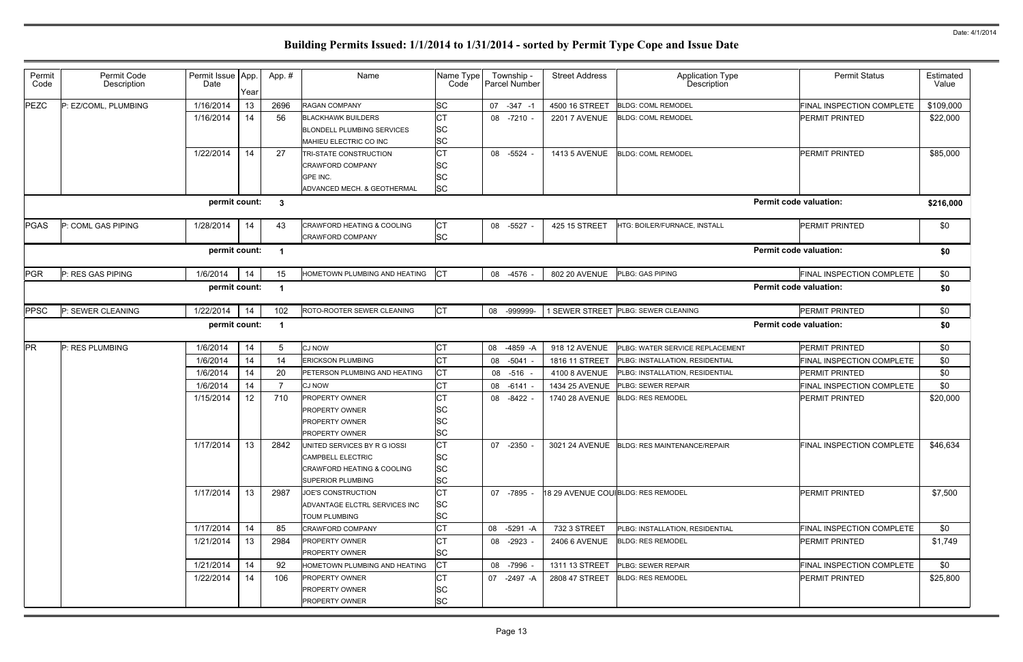| Permit<br>Code | Permit Code<br>Description | Permit Issue App.<br>Date                            | Year | App.#          | Name                                                                                                                   | Name Type<br>Code                   | Township -<br>Parcel Number | <b>Street Address</b> | Application Type<br><b>Description</b>      | <b>Permit Status</b>          | Estimated<br>Value |
|----------------|----------------------------|------------------------------------------------------|------|----------------|------------------------------------------------------------------------------------------------------------------------|-------------------------------------|-----------------------------|-----------------------|---------------------------------------------|-------------------------------|--------------------|
| PEZC           | P: EZ/COML, PLUMBING       | 1/16/2014                                            | 13   | 2696           | <b>RAGAN COMPANY</b>                                                                                                   | <b>SC</b>                           | 07 - 347 - 1                | 4500 16 STREET        | <b>BLDG: COML REMODEL</b>                   | FINAL INSPECTION COMPLETE     | \$109,000          |
|                |                            | 1/16/2014                                            | 14   | 56             | <b>BLACKHAWK BUILDERS</b><br><b>BLONDELL PLUMBING SERVICES</b><br>MAHIEU ELECTRIC CO INC                               | <b>CT</b><br><b>SC</b><br><b>SC</b> | 08 -7210 -                  | <b>2201 7 AVENUE</b>  | <b>BLDG: COML REMODEL</b>                   | PERMIT PRINTED                | \$22,000           |
|                |                            | 1/22/2014                                            | 14   | 27             | TRI-STATE CONSTRUCTION<br><b>CRAWFORD COMPANY</b><br>GPE INC.<br>ADVANCED MECH. & GEOTHERMAL                           | СT<br><b>SC</b><br>SC<br><b>SC</b>  | 08 -5524                    | 1413 5 AVENUE         | <b>BLDG: COML REMODEL</b>                   | PERMIT PRINTED                | \$85,000           |
|                |                            | permit count:                                        |      | $\mathbf{3}$   |                                                                                                                        |                                     |                             |                       |                                             | <b>Permit code valuation:</b> | \$216,000          |
| <b>PGAS</b>    | P: COML GAS PIPING         | 1/28/2014                                            | 14   | 43             | CRAWFORD HEATING & COOLING<br><b>CRAWFORD COMPANY</b>                                                                  | CT<br><b>SC</b>                     | 08 -5527                    | 425 15 STREET         | HTG: BOILER/FURNACE, INSTALL                | PERMIT PRINTED                | \$0                |
|                |                            | <b>Permit code valuation:</b><br>permit count:<br>-1 |      |                |                                                                                                                        |                                     |                             |                       | \$0                                         |                               |                    |
| <b>PGR</b>     | P: RES GAS PIPING          | 1/6/2014                                             | 14   | 15             | HOMETOWN PLUMBING AND HEATING                                                                                          |                                     | 08 -4576                    | 802 20 AVENUE         | PLBG: GAS PIPING                            | FINAL INSPECTION COMPLETE     | \$0                |
|                |                            | <b>Permit code valuation:</b><br>permit count:<br>-1 |      |                |                                                                                                                        |                                     |                             |                       |                                             |                               | \$0                |
| <b>PPSC</b>    | P: SEWER CLEANING          | 1/22/2014                                            | 14   | 102            | ROTO-ROOTER SEWER CLEANING                                                                                             | <b>CT</b>                           | 08 -999999-                 |                       | 1 SEWER STREET PLBG: SEWER CLEANING         | PERMIT PRINTED                | \$0                |
|                |                            | permit count:                                        |      | - 1            |                                                                                                                        |                                     |                             |                       |                                             | <b>Permit code valuation:</b> | \$0                |
| PR             | P: RES PLUMBING            | 1/6/2014                                             | 14   | 5              | <b>CJ NOW</b>                                                                                                          | <b>CT</b>                           | 08 -4859 -A                 | 918 12 AVENUE         | PLBG: WATER SERVICE REPLACEMENT             | PERMIT PRINTED                | \$0                |
|                |                            | 1/6/2014                                             | 14   | 14             | <b>ERICKSON PLUMBING</b>                                                                                               | <b>CT</b>                           | 08 -5041                    | 1816 11 STREET        | PLBG: INSTALLATION, RESIDENTIAL             | FINAL INSPECTION COMPLETE     | \$0                |
|                |                            | 1/6/2014                                             | 14   | 20             | PETERSON PLUMBING AND HEATING                                                                                          | CT                                  | 08 -516                     | 4100 8 AVENUE         | PLBG: INSTALLATION, RESIDENTIAL             | PERMIT PRINTED                | \$0                |
|                |                            | 1/6/2014                                             | 14   | $\overline{7}$ | <b>CJ NOW</b>                                                                                                          | <b>CT</b>                           | 08 -6141                    | 1434 25 AVENUE        | <b>PLBG: SEWER REPAIR</b>                   | FINAL INSPECTION COMPLETE     | \$0                |
|                |                            | 1/15/2014                                            | 12   | 710            | <b>PROPERTY OWNER</b><br><b>PROPERTY OWNER</b><br><b>PROPERTY OWNER</b><br><b>PROPERTY OWNER</b>                       | ו שו<br>SC<br>SC<br>SC              | 08 -8422                    | 1740 28 AVENUE        | <b>BLDG: RES REMODEL</b>                    | PERMIT PRINTED                | \$20,000           |
|                |                            | 1/17/2014                                            | 13   | 2842           | UNITED SERVICES BY R G IOSSI<br>CAMPBELL ELECTRIC<br><b>CRAWFORD HEATING &amp; COOLING</b><br><b>SUPERIOR PLUMBING</b> | IСТ<br>SC<br><b>SC</b><br><b>SC</b> | 07 -2350 -                  |                       | 3021 24 AVENUE BLDG: RES MAINTENANCE/REPAIR | FINAL INSPECTION COMPLETE     | \$46,634           |
|                |                            | 1/17/2014                                            | 13   | 2987           | JOE'S CONSTRUCTION<br>ADVANTAGE ELCTRL SERVICES INC<br><b>TOUM PLUMBING</b>                                            | <b>CT</b><br><b>SC</b><br><b>SC</b> | 07 -7895                    |                       | 18 29 AVENUE COUIBLDG: RES REMODEL          | <b>PERMIT PRINTED</b>         | \$7,500            |
|                |                            | 1/17/2014                                            | 14   | 85             | <b>CRAWFORD COMPANY</b>                                                                                                | СT                                  | 08 -5291 -A                 | 732 3 STREET          | PLBG: INSTALLATION, RESIDENTIAL             | FINAL INSPECTION COMPLETE     | \$0                |
|                |                            | 1/21/2014                                            | 13   | 2984           | <b>PROPERTY OWNER</b><br><b>PROPERTY OWNER</b>                                                                         | СT<br><b>SC</b>                     | 08 -2923 -                  | 2406 6 AVENUE         | <b>BLDG: RES REMODEL</b>                    | PERMIT PRINTED                | \$1,749            |
|                |                            | 1/21/2014                                            | 14   | 92             | HOMETOWN PLUMBING AND HEATING                                                                                          | <b>CT</b>                           | 08 -7996 -                  | 1311 13 STREET        | <b>PLBG: SEWER REPAIR</b>                   | FINAL INSPECTION COMPLETE     | \$0                |
|                |                            | 1/22/2014                                            | 14   | 106            | <b>PROPERTY OWNER</b><br><b>PROPERTY OWNER</b><br><b>PROPERTY OWNER</b>                                                | СT<br>SC<br><b>SC</b>               | 07 -2497 -A                 | 2808 47 STREET        | <b>BLDG: RES REMODEL</b>                    | PERMIT PRINTED                | \$25,800           |